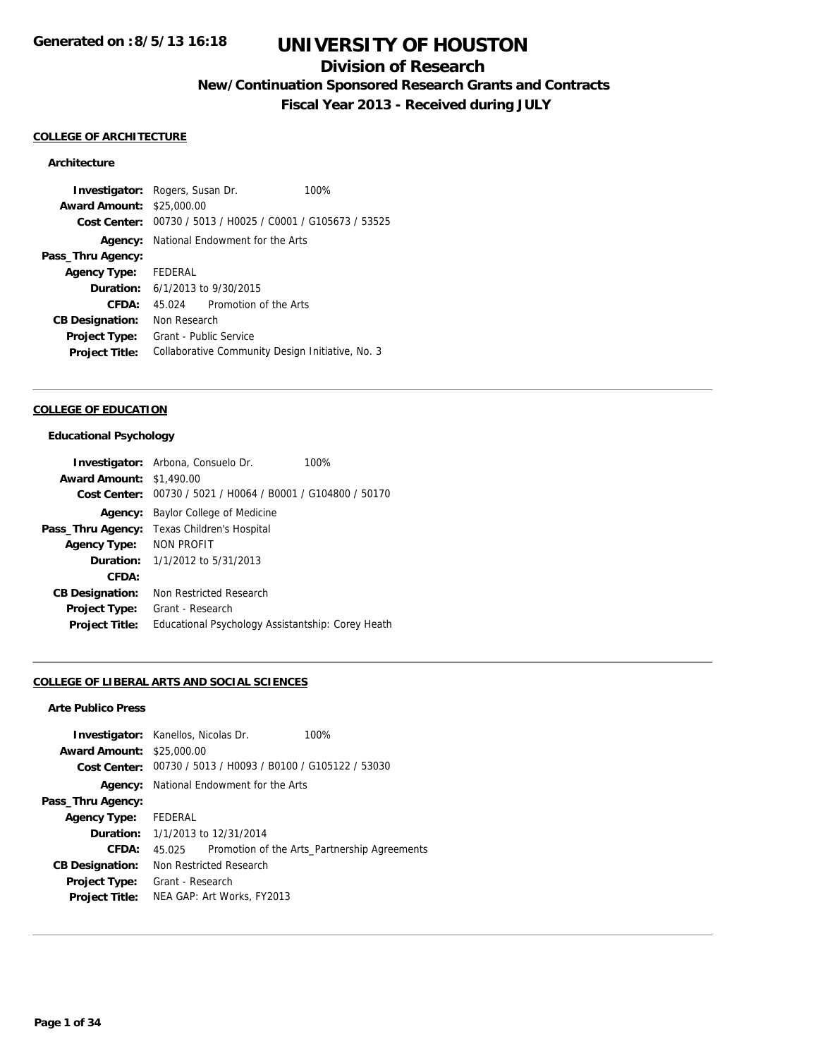### **Division of Research**

**New/Continuation Sponsored Research Grants and Contracts**

**Fiscal Year 2013 - Received during JULY**

#### **COLLEGE OF ARCHITECTURE**

### **Architecture**

**Investigator:** Rogers, Susan Dr. 100% **Award Amount:** \$25,000.00 **Cost Center:** 00730 / 5013 / H0025 / C0001 / G105673 / 53525 **Agency:** National Endowment for the Arts **Pass\_Thru Agency: Agency Type:** FEDERAL **Duration:** 6/1/2013 to 9/30/2015 **CFDA:** 45.024 Promotion of the Arts **CB Designation:** Non Research **Project Type:** Grant - Public Service Project Title: Collaborative Community Design Initiative, No. 3

#### **COLLEGE OF EDUCATION**

#### **Educational Psychology**

|                        | <b>Investigator:</b> Arbona, Consuelo Dr.         | 100% |
|------------------------|---------------------------------------------------|------|
| <b>Award Amount:</b>   | \$1,490.00                                        |      |
| Cost Center:           | 00730 / 5021 / H0064 / B0001 / G104800 / 50170    |      |
| Agency:                | Baylor College of Medicine                        |      |
| Pass_Thru Agency:      | Texas Children's Hospital                         |      |
| <b>Agency Type:</b>    | <b>NON PROFIT</b>                                 |      |
| Duration:              | 1/1/2012 to 5/31/2013                             |      |
| CFDA:                  |                                                   |      |
| <b>CB Designation:</b> | Non Restricted Research                           |      |
| Project Type:          | Grant - Research                                  |      |
| <b>Project Title:</b>  | Educational Psychology Assistantship: Corey Heath |      |

#### **COLLEGE OF LIBERAL ARTS AND SOCIAL SCIENCES**

#### **Arte Publico Press**

|                                  | <b>Investigator:</b> Kanellos, Nicolas Dr.<br>$100\%$       |
|----------------------------------|-------------------------------------------------------------|
| <b>Award Amount: \$25,000.00</b> |                                                             |
|                                  | Cost Center: 00730 / 5013 / H0093 / B0100 / G105122 / 53030 |
|                                  | <b>Agency:</b> National Endowment for the Arts              |
| Pass_Thru Agency:                |                                                             |
| Agency Type: FEDERAL             |                                                             |
|                                  | <b>Duration:</b> 1/1/2013 to 12/31/2014                     |
| CFDA:                            | Promotion of the Arts_Partnership Agreements<br>45.025      |
| <b>CB Designation:</b>           | Non Restricted Research                                     |
| <b>Project Type:</b>             | Grant - Research                                            |
| <b>Project Title:</b>            | NEA GAP: Art Works, FY2013                                  |
|                                  |                                                             |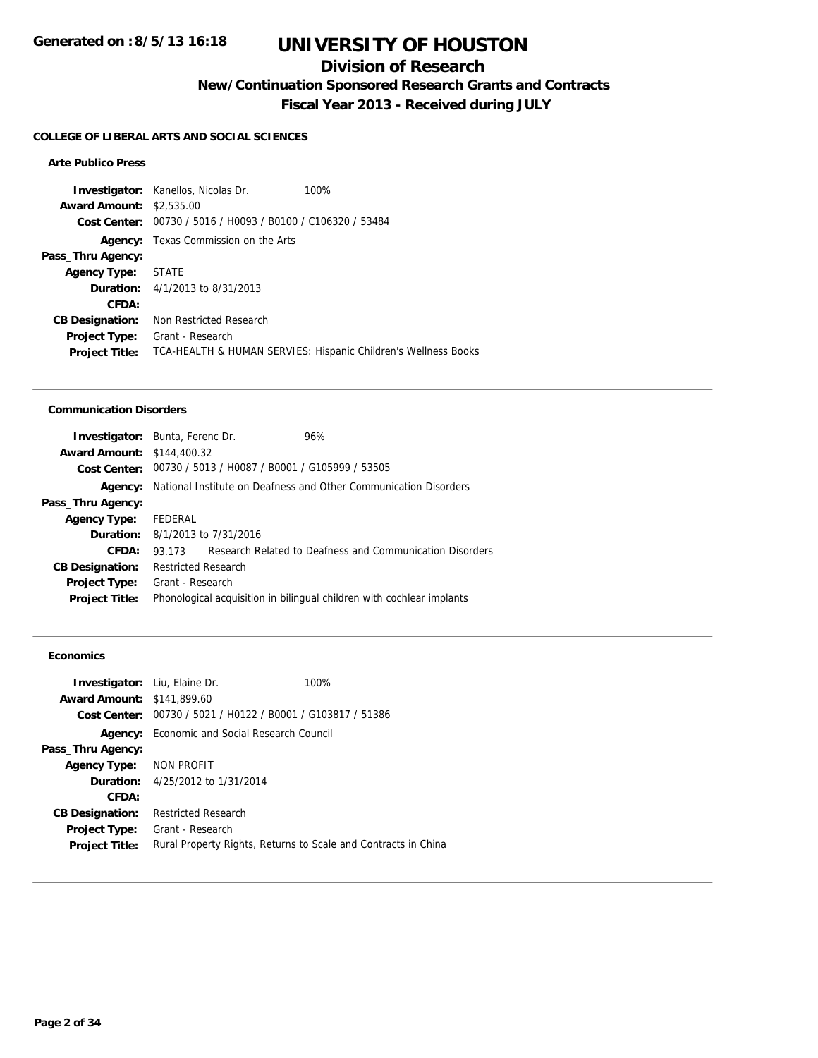## **Division of Research**

**New/Continuation Sponsored Research Grants and Contracts**

**Fiscal Year 2013 - Received during JULY**

#### **COLLEGE OF LIBERAL ARTS AND SOCIAL SCIENCES**

#### **Arte Publico Press**

|                                 | <b>Investigator:</b> Kanellos, Nicolas Dr.                  | 100%                                                           |
|---------------------------------|-------------------------------------------------------------|----------------------------------------------------------------|
| <b>Award Amount: \$2,535,00</b> |                                                             |                                                                |
|                                 | Cost Center: 00730 / 5016 / H0093 / B0100 / C106320 / 53484 |                                                                |
| Agency:                         | Texas Commission on the Arts                                |                                                                |
| Pass_Thru Agency:               |                                                             |                                                                |
| <b>Agency Type: STATE</b>       |                                                             |                                                                |
|                                 | <b>Duration:</b> 4/1/2013 to 8/31/2013                      |                                                                |
| CFDA:                           |                                                             |                                                                |
| <b>CB Designation:</b>          | Non Restricted Research                                     |                                                                |
| <b>Project Type:</b>            | Grant - Research                                            |                                                                |
| <b>Project Title:</b>           |                                                             | TCA-HEALTH & HUMAN SERVIES: Hispanic Children's Wellness Books |

#### **Communication Disorders**

| <b>Investigator:</b> Bunta, Ferenc Dr. |                            |                                                             | 96%                                                                   |
|----------------------------------------|----------------------------|-------------------------------------------------------------|-----------------------------------------------------------------------|
| <b>Award Amount: \$144,400.32</b>      |                            |                                                             |                                                                       |
|                                        |                            | Cost Center: 00730 / 5013 / H0087 / B0001 / G105999 / 53505 |                                                                       |
| Agency:                                |                            |                                                             | National Institute on Deafness and Other Communication Disorders      |
| Pass_Thru Agency:                      |                            |                                                             |                                                                       |
| <b>Agency Type:</b>                    | FEDERAL                    |                                                             |                                                                       |
| <b>Duration:</b> 8/1/2013 to 7/31/2016 |                            |                                                             |                                                                       |
| CFDA:                                  | 93 173                     |                                                             | Research Related to Deafness and Communication Disorders              |
| <b>CB Designation:</b>                 | <b>Restricted Research</b> |                                                             |                                                                       |
| <b>Project Type:</b>                   | Grant - Research           |                                                             |                                                                       |
| <b>Project Title:</b>                  |                            |                                                             | Phonological acquisition in bilingual children with cochlear implants |
|                                        |                            |                                                             |                                                                       |

### **Economics**

| Investigator: Liu, Elaine Dr.     |                                                                | 100% |
|-----------------------------------|----------------------------------------------------------------|------|
| <b>Award Amount: \$141,899.60</b> |                                                                |      |
| Cost Center:                      | 00730 / 5021 / H0122 / B0001 / G103817 / 51386                 |      |
|                                   | <b>Agency:</b> Economic and Social Research Council            |      |
| Pass_Thru Agency:                 |                                                                |      |
| Agency Type: NON PROFIT           |                                                                |      |
|                                   | <b>Duration:</b> 4/25/2012 to 1/31/2014                        |      |
| CFDA:                             |                                                                |      |
| <b>CB Designation:</b>            | <b>Restricted Research</b>                                     |      |
| Project Type:                     | Grant - Research                                               |      |
| <b>Project Title:</b>             | Rural Property Rights, Returns to Scale and Contracts in China |      |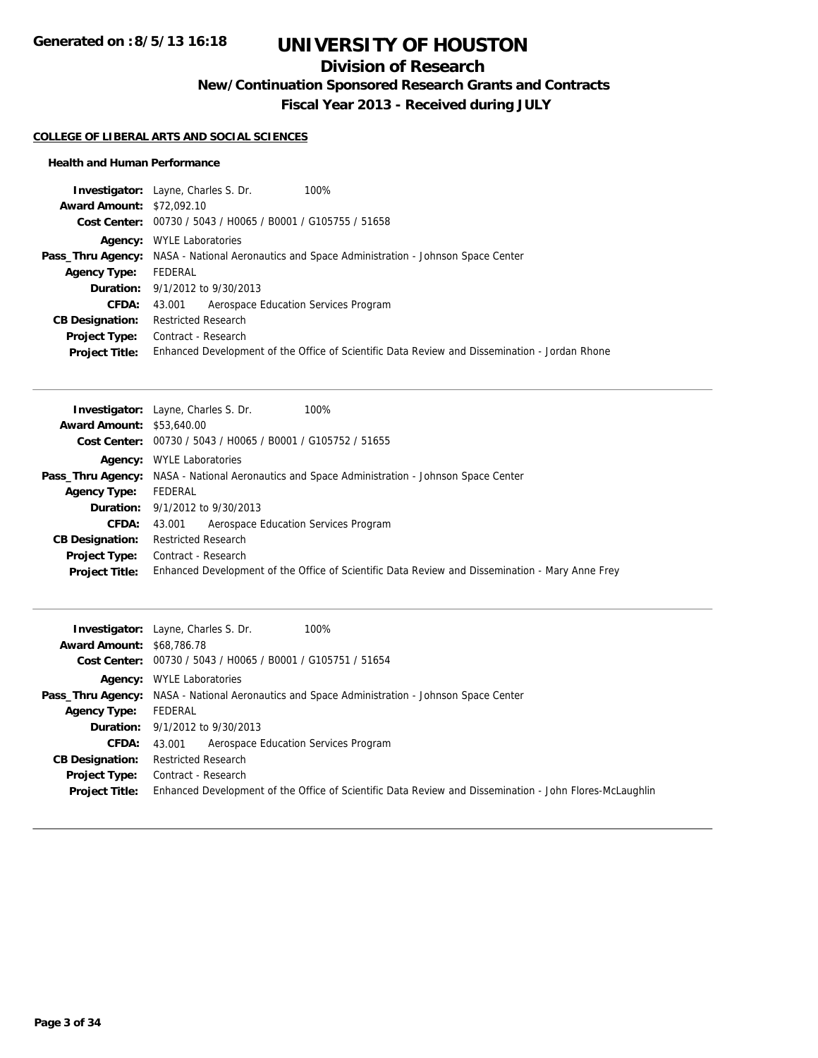## **Division of Research**

**New/Continuation Sponsored Research Grants and Contracts**

**Fiscal Year 2013 - Received during JULY**

#### **COLLEGE OF LIBERAL ARTS AND SOCIAL SCIENCES**

#### **Health and Human Performance**

| 100%<br><b>Investigator:</b> Layne, Charles S. Dr.                                                   |
|------------------------------------------------------------------------------------------------------|
| <b>Award Amount: \$72,092.10</b>                                                                     |
| Cost Center: 00730 / 5043 / H0065 / B0001 / G105755 / 51658                                          |
| <b>WYLE Laboratories</b><br>Agency:                                                                  |
| <b>Pass_Thru Agency:</b> NASA - National Aeronautics and Space Administration - Johnson Space Center |
| FEDERAL                                                                                              |
| <b>Duration:</b> 9/1/2012 to 9/30/2013                                                               |
| Aerospace Education Services Program<br>43.001                                                       |
| <b>Restricted Research</b>                                                                           |
| Contract - Research                                                                                  |
| Enhanced Development of the Office of Scientific Data Review and Dissemination - Jordan Rhone        |
|                                                                                                      |

|                                  | <b>Investigator:</b> Layne, Charles S. Dr.<br>100%                                                   |
|----------------------------------|------------------------------------------------------------------------------------------------------|
| <b>Award Amount: \$53,640.00</b> |                                                                                                      |
|                                  | Cost Center: 00730 / 5043 / H0065 / B0001 / G105752 / 51655                                          |
|                                  | <b>Agency:</b> WYLE Laboratories                                                                     |
|                                  | <b>Pass_Thru Agency:</b> NASA - National Aeronautics and Space Administration - Johnson Space Center |
| <b>Agency Type:</b>              | FEDERAL                                                                                              |
|                                  | <b>Duration:</b> 9/1/2012 to 9/30/2013                                                               |
| <b>CFDA:</b>                     | Aerospace Education Services Program<br>43.001                                                       |
| <b>CB Designation:</b>           | <b>Restricted Research</b>                                                                           |
| Project Type:                    | Contract - Research                                                                                  |
| <b>Project Title:</b>            | Enhanced Development of the Office of Scientific Data Review and Dissemination - Mary Anne Frey      |

| 100%<br><b>Investigator:</b> Layne, Charles S. Dr.                                                      |
|---------------------------------------------------------------------------------------------------------|
| <b>Award Amount: \$68,786.78</b>                                                                        |
| Cost Center: 00730 / 5043 / H0065 / B0001 / G105751 / 51654                                             |
| <b>Agency:</b> WYLE Laboratories                                                                        |
| <b>Pass_Thru Agency:</b> NASA - National Aeronautics and Space Administration - Johnson Space Center    |
| FEDERAL                                                                                                 |
| <b>Duration:</b> 9/1/2012 to 9/30/2013                                                                  |
| Aerospace Education Services Program<br>43.001                                                          |
| <b>Restricted Research</b>                                                                              |
| Contract - Research                                                                                     |
| Enhanced Development of the Office of Scientific Data Review and Dissemination - John Flores-McLaughlin |
|                                                                                                         |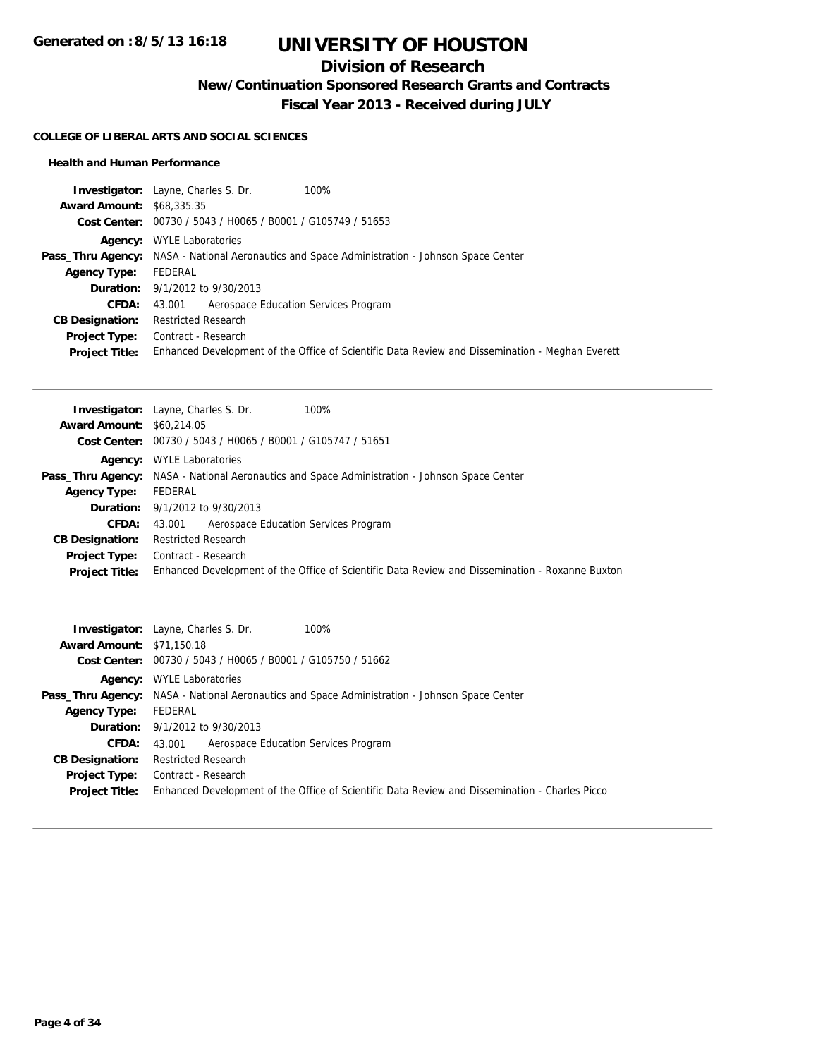## **Division of Research**

**New/Continuation Sponsored Research Grants and Contracts**

**Fiscal Year 2013 - Received during JULY**

#### **COLLEGE OF LIBERAL ARTS AND SOCIAL SCIENCES**

#### **Health and Human Performance**

| <b>Investigator:</b> Layne, Charles S. Dr.<br>100%                                                   |
|------------------------------------------------------------------------------------------------------|
| <b>Award Amount: \$68,335,35</b>                                                                     |
| Cost Center: 00730 / 5043 / H0065 / B0001 / G105749 / 51653                                          |
| <b>Agency:</b> WYLE Laboratories                                                                     |
| <b>Pass_Thru Agency:</b> NASA - National Aeronautics and Space Administration - Johnson Space Center |
| FEDERAL                                                                                              |
| <b>Duration:</b> 9/1/2012 to 9/30/2013                                                               |
| 43.001 Aerospace Education Services Program                                                          |
| <b>Restricted Research</b>                                                                           |
| Contract - Research                                                                                  |
| Enhanced Development of the Office of Scientific Data Review and Dissemination - Meghan Everett      |
|                                                                                                      |

| <b>Award Amount: \$60,214.05</b><br>Cost Center: 00730 / 5043 / H0065 / B0001 / G105747 / 51651<br><b>Agency:</b> WYLE Laboratories<br><b>Pass_Thru Agency:</b> NASA - National Aeronautics and Space Administration - Johnson Space Center<br>FEDERAL<br><b>Agency Type:</b><br><b>Duration:</b> 9/1/2012 to 9/30/2013<br>Aerospace Education Services Program<br><b>CFDA:</b><br>43.001<br><b>Restricted Research</b><br><b>CB Designation:</b><br>Contract - Research<br>Project Type:<br>Enhanced Development of the Office of Scientific Data Review and Dissemination - Roxanne Buxton<br><b>Project Title:</b> | 100%<br><b>Investigator:</b> Layne, Charles S. Dr. |
|-----------------------------------------------------------------------------------------------------------------------------------------------------------------------------------------------------------------------------------------------------------------------------------------------------------------------------------------------------------------------------------------------------------------------------------------------------------------------------------------------------------------------------------------------------------------------------------------------------------------------|----------------------------------------------------|
|                                                                                                                                                                                                                                                                                                                                                                                                                                                                                                                                                                                                                       |                                                    |
|                                                                                                                                                                                                                                                                                                                                                                                                                                                                                                                                                                                                                       |                                                    |
|                                                                                                                                                                                                                                                                                                                                                                                                                                                                                                                                                                                                                       |                                                    |
|                                                                                                                                                                                                                                                                                                                                                                                                                                                                                                                                                                                                                       |                                                    |
|                                                                                                                                                                                                                                                                                                                                                                                                                                                                                                                                                                                                                       |                                                    |
|                                                                                                                                                                                                                                                                                                                                                                                                                                                                                                                                                                                                                       |                                                    |
|                                                                                                                                                                                                                                                                                                                                                                                                                                                                                                                                                                                                                       |                                                    |
|                                                                                                                                                                                                                                                                                                                                                                                                                                                                                                                                                                                                                       |                                                    |
|                                                                                                                                                                                                                                                                                                                                                                                                                                                                                                                                                                                                                       |                                                    |
|                                                                                                                                                                                                                                                                                                                                                                                                                                                                                                                                                                                                                       |                                                    |

| <b>Investigator:</b> Layne, Charles S. Dr.<br>100%                                                   |
|------------------------------------------------------------------------------------------------------|
| <b>Award Amount: \$71,150.18</b>                                                                     |
| Cost Center: 00730 / 5043 / H0065 / B0001 / G105750 / 51662                                          |
| <b>Agency:</b> WYLE Laboratories                                                                     |
| <b>Pass_Thru Agency:</b> NASA - National Aeronautics and Space Administration - Johnson Space Center |
| FEDERAL                                                                                              |
| <b>Duration:</b> $9/1/2012$ to $9/30/2013$                                                           |
| Aerospace Education Services Program<br>43.001                                                       |
| <b>Restricted Research</b>                                                                           |
| Contract - Research                                                                                  |
| Enhanced Development of the Office of Scientific Data Review and Dissemination - Charles Picco       |
|                                                                                                      |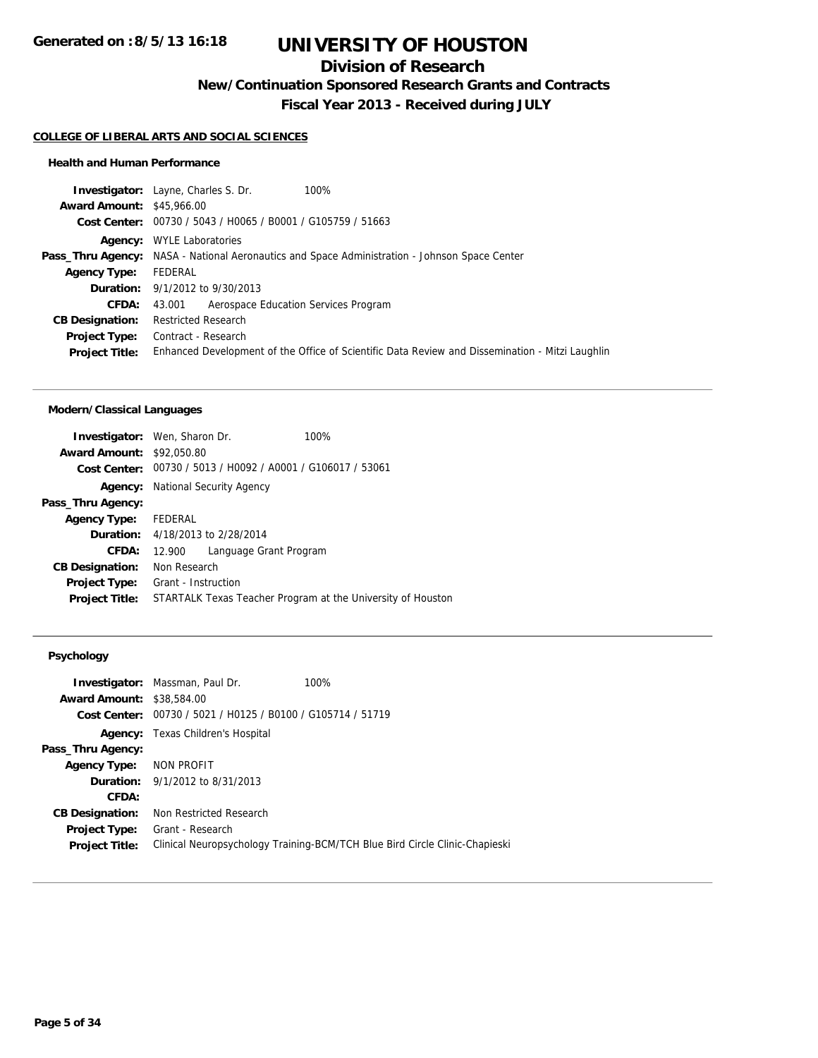## **Division of Research**

**New/Continuation Sponsored Research Grants and Contracts**

**Fiscal Year 2013 - Received during JULY**

## **COLLEGE OF LIBERAL ARTS AND SOCIAL SCIENCES**

#### **Health and Human Performance**

|                                  | 100%<br><b>Investigator:</b> Layne, Charles S. Dr.                                                   |  |
|----------------------------------|------------------------------------------------------------------------------------------------------|--|
| <b>Award Amount: \$45,966.00</b> |                                                                                                      |  |
|                                  | Cost Center: 00730 / 5043 / H0065 / B0001 / G105759 / 51663                                          |  |
|                                  | <b>Agency:</b> WYLE Laboratories                                                                     |  |
|                                  | <b>Pass_Thru Agency:</b> NASA - National Aeronautics and Space Administration - Johnson Space Center |  |
| <b>Agency Type:</b>              | FEDERAL                                                                                              |  |
|                                  | <b>Duration:</b> 9/1/2012 to 9/30/2013                                                               |  |
| CFDA:                            | Aerospace Education Services Program<br>43.001                                                       |  |
| <b>CB Designation:</b>           | <b>Restricted Research</b>                                                                           |  |
| Project Type:                    | Contract - Research                                                                                  |  |
| <b>Project Title:</b>            | Enhanced Development of the Office of Scientific Data Review and Dissemination - Mitzi Laughlin      |  |
|                                  |                                                                                                      |  |

### **Modern/Classical Languages**

|        |                        | 100%                                                                                                                                                                                                                                                  |
|--------|------------------------|-------------------------------------------------------------------------------------------------------------------------------------------------------------------------------------------------------------------------------------------------------|
|        |                        |                                                                                                                                                                                                                                                       |
|        |                        |                                                                                                                                                                                                                                                       |
|        |                        |                                                                                                                                                                                                                                                       |
|        |                        |                                                                                                                                                                                                                                                       |
|        |                        |                                                                                                                                                                                                                                                       |
|        |                        |                                                                                                                                                                                                                                                       |
| 12.900 | Language Grant Program |                                                                                                                                                                                                                                                       |
|        |                        |                                                                                                                                                                                                                                                       |
|        |                        |                                                                                                                                                                                                                                                       |
|        |                        | STARTALK Texas Teacher Program at the University of Houston                                                                                                                                                                                           |
|        | Agency Type: FEDERAL   | <b>Investigator:</b> Wen, Sharon Dr.<br><b>Award Amount: \$92,050.80</b><br>Cost Center: 00730 / 5013 / H0092 / A0001 / G106017 / 53061<br>National Security Agency<br><b>Duration:</b> 4/18/2013 to 2/28/2014<br>Non Research<br>Grant - Instruction |

#### **Psychology**

| <b>Investigator:</b> Massman, Paul Dr.                      | 100%                                                                        |
|-------------------------------------------------------------|-----------------------------------------------------------------------------|
| <b>Award Amount: \$38,584,00</b>                            |                                                                             |
| Cost Center: 00730 / 5021 / H0125 / B0100 / G105714 / 51719 |                                                                             |
| <b>Agency:</b> Texas Children's Hospital                    |                                                                             |
|                                                             |                                                                             |
| Agency Type: NON PROFIT                                     |                                                                             |
| <b>Duration:</b> 9/1/2012 to 8/31/2013                      |                                                                             |
|                                                             |                                                                             |
| Non Restricted Research                                     |                                                                             |
| Grant - Research                                            |                                                                             |
|                                                             | Clinical Neuropsychology Training-BCM/TCH Blue Bird Circle Clinic-Chapieski |
|                                                             |                                                                             |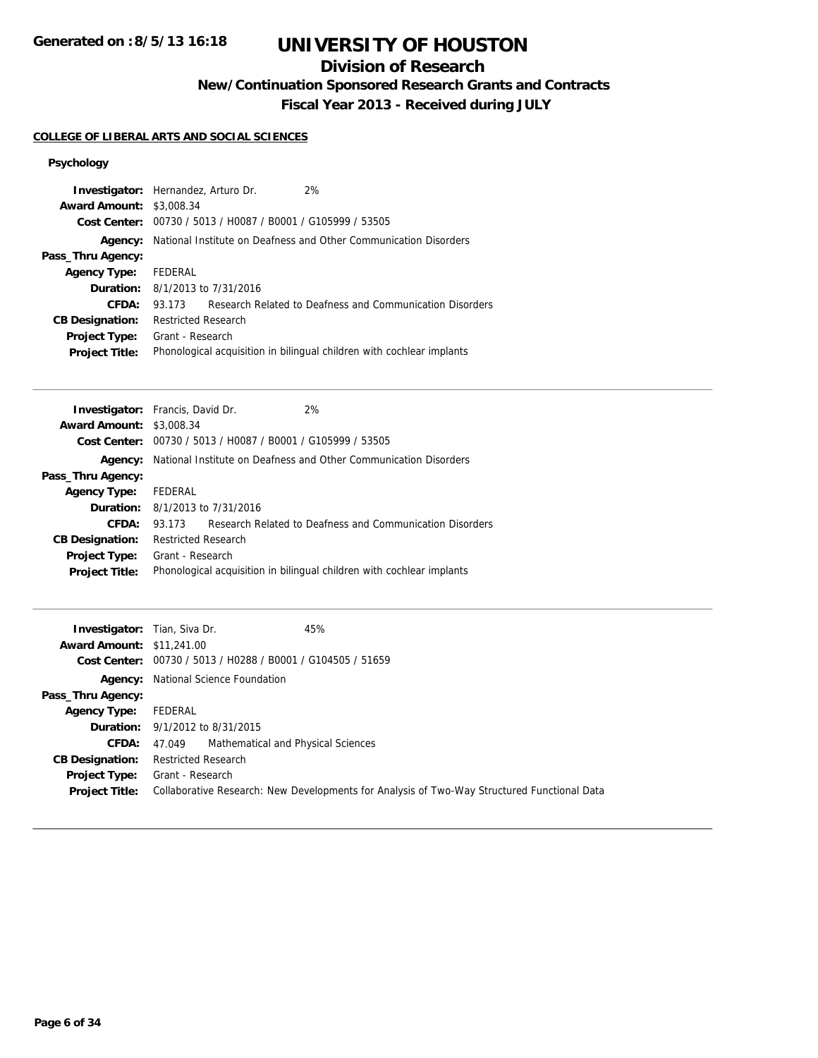**Generated on :8/5/13 16:18**

# **UNIVERSITY OF HOUSTON**

## **Division of Research**

**New/Continuation Sponsored Research Grants and Contracts**

**Fiscal Year 2013 - Received during JULY**

#### **COLLEGE OF LIBERAL ARTS AND SOCIAL SCIENCES**

### **Psychology**

| <b>Award Amount:</b>                          | <b>Investigator:</b> Hernandez, Arturo Dr.<br>2%<br>\$3,008.34<br>Cost Center: 00730 / 5013 / H0087 / B0001 / G105999 / 53505 |
|-----------------------------------------------|-------------------------------------------------------------------------------------------------------------------------------|
| Agency:                                       | National Institute on Deafness and Other Communication Disorders                                                              |
| Pass_Thru Agency:                             |                                                                                                                               |
| <b>Agency Type:</b>                           | FEDERAL                                                                                                                       |
|                                               | <b>Duration:</b> 8/1/2013 to 7/31/2016                                                                                        |
| CFDA:                                         | Research Related to Deafness and Communication Disorders<br>93.173                                                            |
| <b>CB Designation:</b>                        | <b>Restricted Research</b>                                                                                                    |
| <b>Project Type:</b><br><b>Project Title:</b> | Grant - Research<br>Phonological acquisition in bilingual children with cochlear implants                                     |

|                                 | <b>Investigator:</b> Francis, David Dr.                              | 2%                                                                    |
|---------------------------------|----------------------------------------------------------------------|-----------------------------------------------------------------------|
| <b>Award Amount: \$3,008.34</b> |                                                                      |                                                                       |
|                                 | <b>Cost Center:</b> $00730 / 5013 / 40087 / 80001 / 6105999 / 53505$ |                                                                       |
| Agency:                         |                                                                      | National Institute on Deafness and Other Communication Disorders      |
| Pass_Thru Agency:               |                                                                      |                                                                       |
| <b>Agency Type:</b>             | FEDERAL                                                              |                                                                       |
|                                 | <b>Duration:</b> $8/1/2013$ to $7/31/2016$                           |                                                                       |
| <b>CFDA:</b>                    | 93.173                                                               | Research Related to Deafness and Communication Disorders              |
| <b>CB Designation:</b>          | <b>Restricted Research</b>                                           |                                                                       |
| <b>Project Type:</b>            | Grant - Research                                                     |                                                                       |
| <b>Project Title:</b>           |                                                                      | Phonological acquisition in bilingual children with cochlear implants |
|                                 |                                                                      |                                                                       |

| <b>Investigator:</b> Tian, Siva Dr.<br><b>Award Amount: \$11,241.00</b> | 45%<br>Cost Center: 00730 / 5013 / H0288 / B0001 / G104505 / 51659                                              |
|-------------------------------------------------------------------------|-----------------------------------------------------------------------------------------------------------------|
|                                                                         | <b>Agency:</b> National Science Foundation                                                                      |
| Pass_Thru Agency:                                                       |                                                                                                                 |
| <b>Agency Type:</b>                                                     | FEDERAL                                                                                                         |
|                                                                         | <b>Duration:</b> 9/1/2012 to 8/31/2015                                                                          |
| <b>CFDA:</b>                                                            | 47.049 Mathematical and Physical Sciences                                                                       |
| <b>CB Designation:</b>                                                  | <b>Restricted Research</b>                                                                                      |
| Project Type:<br><b>Project Title:</b>                                  | Grant - Research<br>Collaborative Research: New Developments for Analysis of Two-Way Structured Functional Data |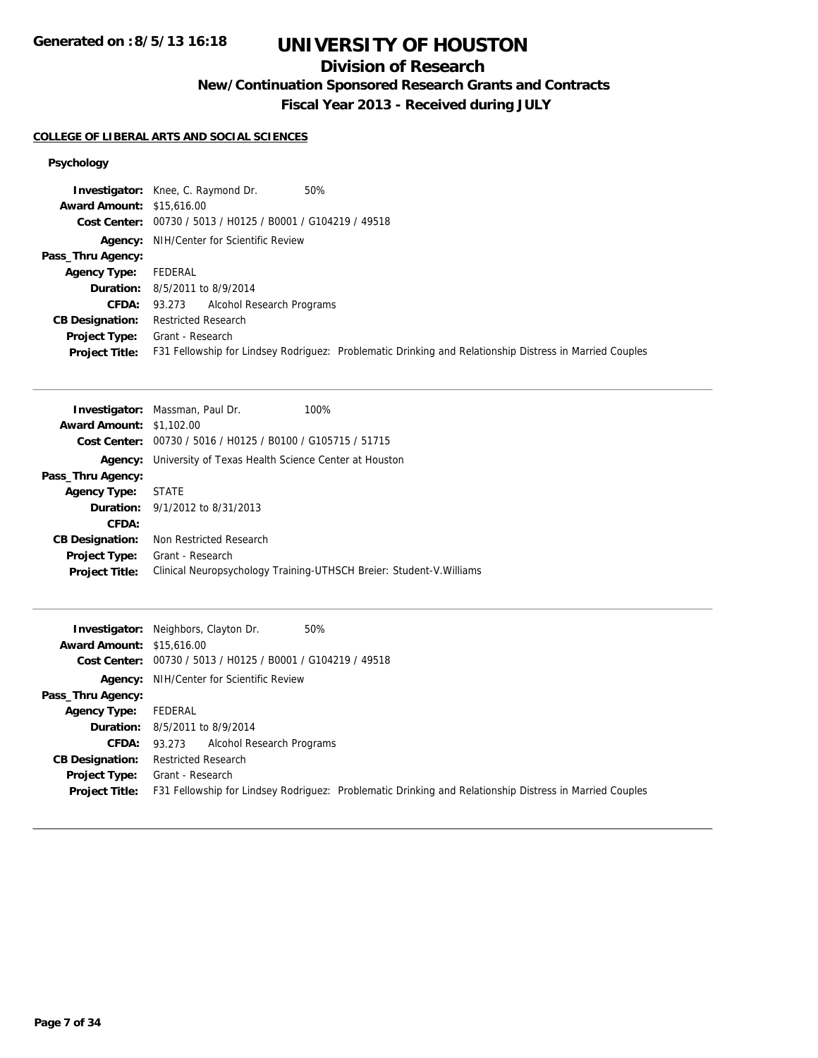## **Division of Research**

**New/Continuation Sponsored Research Grants and Contracts**

**Fiscal Year 2013 - Received during JULY**

#### **COLLEGE OF LIBERAL ARTS AND SOCIAL SCIENCES**

### **Psychology**

|                                  | 50%<br><b>Investigator:</b> Knee, C. Raymond Dr.                                                        |
|----------------------------------|---------------------------------------------------------------------------------------------------------|
| <b>Award Amount: \$15,616.00</b> |                                                                                                         |
|                                  | Cost Center: 00730 / 5013 / H0125 / B0001 / G104219 / 49518                                             |
|                                  | <b>Agency:</b> NIH/Center for Scientific Review                                                         |
| Pass_Thru Agency:                |                                                                                                         |
| <b>Agency Type:</b>              | FEDERAL                                                                                                 |
|                                  | <b>Duration:</b> 8/5/2011 to 8/9/2014                                                                   |
| <b>CFDA:</b>                     | 93.273 Alcohol Research Programs                                                                        |
| <b>CB Designation:</b>           | <b>Restricted Research</b>                                                                              |
| <b>Project Type:</b>             | Grant - Research                                                                                        |
| <b>Project Title:</b>            | F31 Fellowship for Lindsey Rodriguez: Problematic Drinking and Relationship Distress in Married Couples |

| <b>Award Amount: \$1,102.00</b><br>Cost Center: 00730 / 5016 / H0125 / B0100 / G105715 / 51715<br>University of Texas Health Science Center at Houston<br>Agency:<br>Pass_Thru Agency:<br>STATE<br><b>Agency Type:</b><br><b>Duration:</b> $9/1/2012$ to $8/31/2013$<br>CFDA:<br>Non Restricted Research<br><b>CB Designation:</b><br>Grant - Research<br><b>Project Type:</b><br>Clinical Neuropsychology Training-UTHSCH Breier: Student-V. Williams<br><b>Project Title:</b> | <b>Investigator:</b> Massman, Paul Dr.<br>100% |
|---------------------------------------------------------------------------------------------------------------------------------------------------------------------------------------------------------------------------------------------------------------------------------------------------------------------------------------------------------------------------------------------------------------------------------------------------------------------------------|------------------------------------------------|
|                                                                                                                                                                                                                                                                                                                                                                                                                                                                                 |                                                |
|                                                                                                                                                                                                                                                                                                                                                                                                                                                                                 |                                                |
|                                                                                                                                                                                                                                                                                                                                                                                                                                                                                 |                                                |
|                                                                                                                                                                                                                                                                                                                                                                                                                                                                                 |                                                |
|                                                                                                                                                                                                                                                                                                                                                                                                                                                                                 |                                                |
|                                                                                                                                                                                                                                                                                                                                                                                                                                                                                 |                                                |
|                                                                                                                                                                                                                                                                                                                                                                                                                                                                                 |                                                |
|                                                                                                                                                                                                                                                                                                                                                                                                                                                                                 |                                                |
|                                                                                                                                                                                                                                                                                                                                                                                                                                                                                 |                                                |
|                                                                                                                                                                                                                                                                                                                                                                                                                                                                                 |                                                |

|                                  | 50%<br><b>Investigator:</b> Neighbors, Clayton Dr.                                                      |
|----------------------------------|---------------------------------------------------------------------------------------------------------|
| <b>Award Amount: \$15,616.00</b> |                                                                                                         |
|                                  | Cost Center: 00730 / 5013 / H0125 / B0001 / G104219 / 49518                                             |
|                                  | <b>Agency:</b> NIH/Center for Scientific Review                                                         |
| Pass_Thru Agency:                |                                                                                                         |
| <b>Agency Type:</b>              | FEDERAL                                                                                                 |
|                                  | <b>Duration:</b> 8/5/2011 to 8/9/2014                                                                   |
| <b>CFDA:</b>                     | 93.273 Alcohol Research Programs                                                                        |
| <b>CB Designation:</b>           | <b>Restricted Research</b>                                                                              |
| Project Type:                    | Grant - Research                                                                                        |
| <b>Project Title:</b>            | F31 Fellowship for Lindsey Rodriguez: Problematic Drinking and Relationship Distress in Married Couples |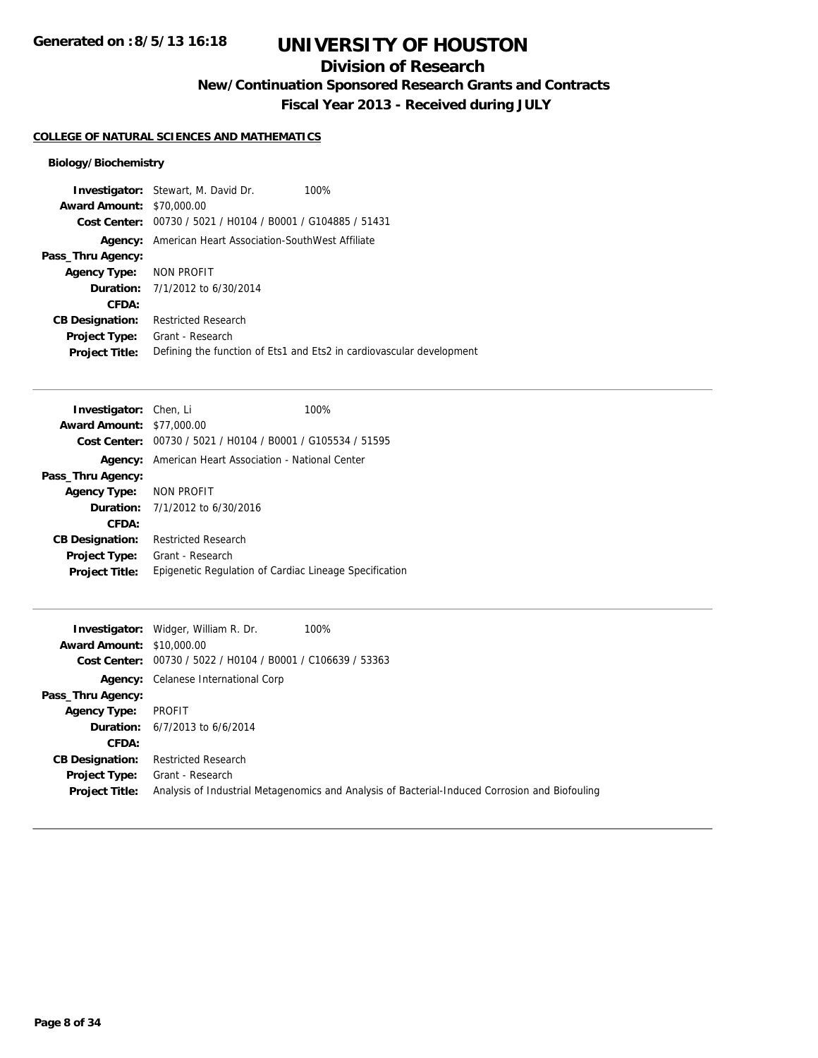## **Division of Research**

**New/Continuation Sponsored Research Grants and Contracts**

**Fiscal Year 2013 - Received during JULY**

### **COLLEGE OF NATURAL SCIENCES AND MATHEMATICS**

### **Biology/Biochemistry**

|                                  | <b>Investigator:</b> Stewart, M. David Dr.<br>100%                   |
|----------------------------------|----------------------------------------------------------------------|
| <b>Award Amount: \$70,000.00</b> |                                                                      |
|                                  | Cost Center: 00730 / 5021 / H0104 / B0001 / G104885 / 51431          |
| Agency:                          | American Heart Association-SouthWest Affiliate                       |
| Pass_Thru Agency:                |                                                                      |
| <b>Agency Type:</b>              | NON PROFIT                                                           |
|                                  | <b>Duration:</b> 7/1/2012 to 6/30/2014                               |
| CFDA:                            |                                                                      |
| <b>CB Designation:</b>           | <b>Restricted Research</b>                                           |
| Project Type:                    | Grant - Research                                                     |
| <b>Project Title:</b>            | Defining the function of Ets1 and Ets2 in cardiovascular development |

| <b>Investigator:</b> Chen, Li    |                                                             | 100%                                                   |
|----------------------------------|-------------------------------------------------------------|--------------------------------------------------------|
| <b>Award Amount: \$77,000.00</b> |                                                             |                                                        |
|                                  | Cost Center: 00730 / 5021 / H0104 / B0001 / G105534 / 51595 |                                                        |
|                                  | <b>Agency:</b> American Heart Association - National Center |                                                        |
| Pass_Thru Agency:                |                                                             |                                                        |
| Agency Type: NON PROFIT          |                                                             |                                                        |
|                                  | <b>Duration:</b> $7/1/2012$ to 6/30/2016                    |                                                        |
| CFDA:                            |                                                             |                                                        |
| <b>CB Designation:</b>           | <b>Restricted Research</b>                                  |                                                        |
| <b>Project Type:</b>             | Grant - Research                                            |                                                        |
| <b>Project Title:</b>            |                                                             | Epigenetic Regulation of Cardiac Lineage Specification |

|                                  | 100%<br><b>Investigator:</b> Widger, William R. Dr.                                            |
|----------------------------------|------------------------------------------------------------------------------------------------|
| <b>Award Amount: \$10,000.00</b> |                                                                                                |
| Cost Center:                     | 00730 / 5022 / H0104 / B0001 / C106639 / 53363                                                 |
|                                  | <b>Agency:</b> Celanese International Corp                                                     |
| Pass_Thru Agency:                |                                                                                                |
| <b>Agency Type:</b>              | PROFIT                                                                                         |
| Duration:                        | 6/7/2013 to 6/6/2014                                                                           |
| CFDA:                            |                                                                                                |
| <b>CB Designation:</b>           | <b>Restricted Research</b>                                                                     |
| Project Type:                    | Grant - Research                                                                               |
| <b>Project Title:</b>            | Analysis of Industrial Metagenomics and Analysis of Bacterial-Induced Corrosion and Biofouling |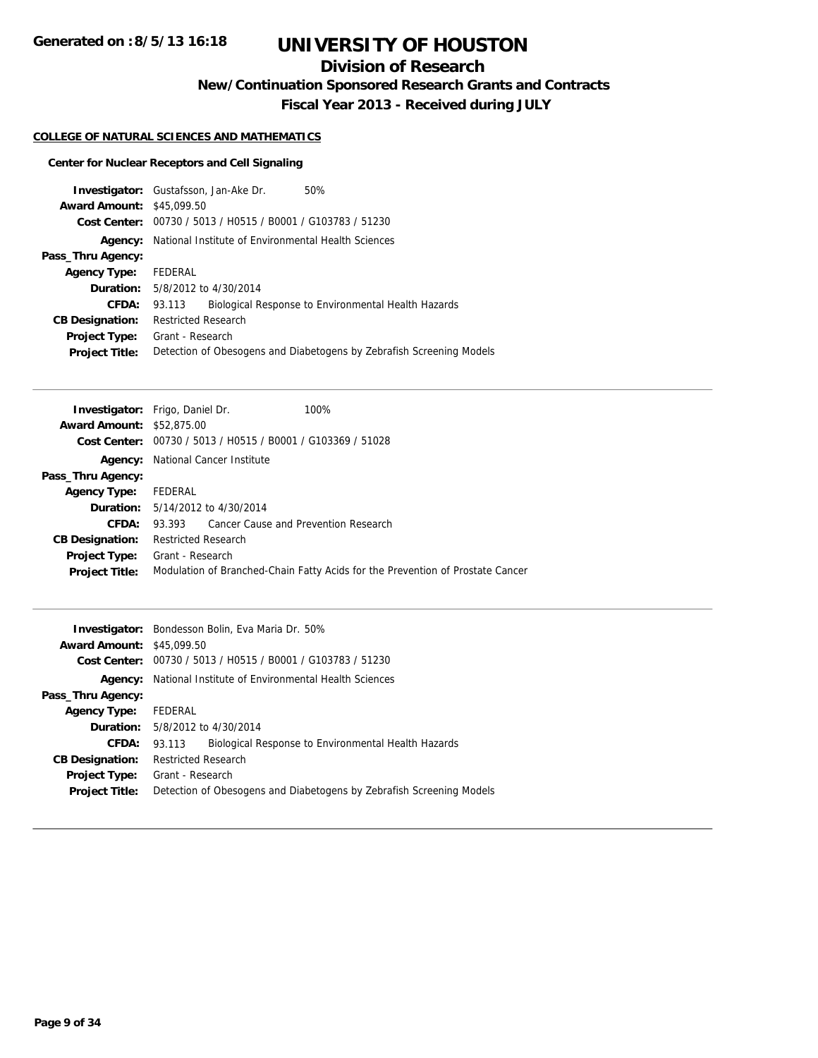## **Division of Research**

**New/Continuation Sponsored Research Grants and Contracts**

**Fiscal Year 2013 - Received during JULY**

### **COLLEGE OF NATURAL SCIENCES AND MATHEMATICS**

### **Center for Nuclear Receptors and Cell Signaling**

|                        | 50%<br><b>Investigator:</b> Gustafsson, Jan-Ake Dr.                  |
|------------------------|----------------------------------------------------------------------|
| <b>Award Amount:</b>   | \$45,099.50                                                          |
| Cost Center:           | 00730 / 5013 / H0515 / B0001 / G103783 / 51230                       |
| Agency:                | National Institute of Environmental Health Sciences                  |
| Pass_Thru Agency:      |                                                                      |
| <b>Agency Type:</b>    | FEDERAL                                                              |
|                        | <b>Duration:</b> 5/8/2012 to 4/30/2014                               |
| <b>CFDA:</b>           | Biological Response to Environmental Health Hazards<br>93.113        |
| <b>CB Designation:</b> | <b>Restricted Research</b>                                           |
| <b>Project Type:</b>   | Grant - Research                                                     |
| <b>Project Title:</b>  | Detection of Obesogens and Diabetogens by Zebrafish Screening Models |
|                        |                                                                      |

| <b>Investigator:</b> Frigo, Daniel Dr. |                            |                                                                      | 100%                                                                           |
|----------------------------------------|----------------------------|----------------------------------------------------------------------|--------------------------------------------------------------------------------|
| <b>Award Amount: \$52,875,00</b>       |                            |                                                                      |                                                                                |
|                                        |                            | <b>Cost Center:</b> $00730 / 5013 / 40515 / 80001 / 6103369 / 51028$ |                                                                                |
| Agency:                                |                            | National Cancer Institute                                            |                                                                                |
| Pass_Thru Agency:                      |                            |                                                                      |                                                                                |
| <b>Agency Type:</b>                    | FEDERAL                    |                                                                      |                                                                                |
|                                        |                            | <b>Duration:</b> 5/14/2012 to 4/30/2014                              |                                                                                |
| CFDA:                                  | 93.393                     | Cancer Cause and Prevention Research                                 |                                                                                |
| <b>CB Designation:</b>                 | <b>Restricted Research</b> |                                                                      |                                                                                |
| <b>Project Type:</b>                   | Grant - Research           |                                                                      |                                                                                |
| <b>Project Title:</b>                  |                            |                                                                      | Modulation of Branched-Chain Fatty Acids for the Prevention of Prostate Cancer |
|                                        |                            |                                                                      |                                                                                |

|                                  | <b>Investigator:</b> Bondesson Bolin, Eva Maria Dr. 50%              |  |  |
|----------------------------------|----------------------------------------------------------------------|--|--|
| <b>Award Amount: \$45,099.50</b> |                                                                      |  |  |
|                                  | Cost Center: 00730 / 5013 / H0515 / B0001 / G103783 / 51230          |  |  |
| Agency:                          | National Institute of Environmental Health Sciences                  |  |  |
| Pass_Thru Agency:                |                                                                      |  |  |
| <b>Agency Type:</b>              | FEDERAL                                                              |  |  |
|                                  | <b>Duration:</b> 5/8/2012 to 4/30/2014                               |  |  |
| <b>CFDA:</b>                     | Biological Response to Environmental Health Hazards<br>93.113        |  |  |
| <b>CB Designation:</b>           | <b>Restricted Research</b>                                           |  |  |
| <b>Project Type:</b>             | Grant - Research                                                     |  |  |
| <b>Project Title:</b>            | Detection of Obesogens and Diabetogens by Zebrafish Screening Models |  |  |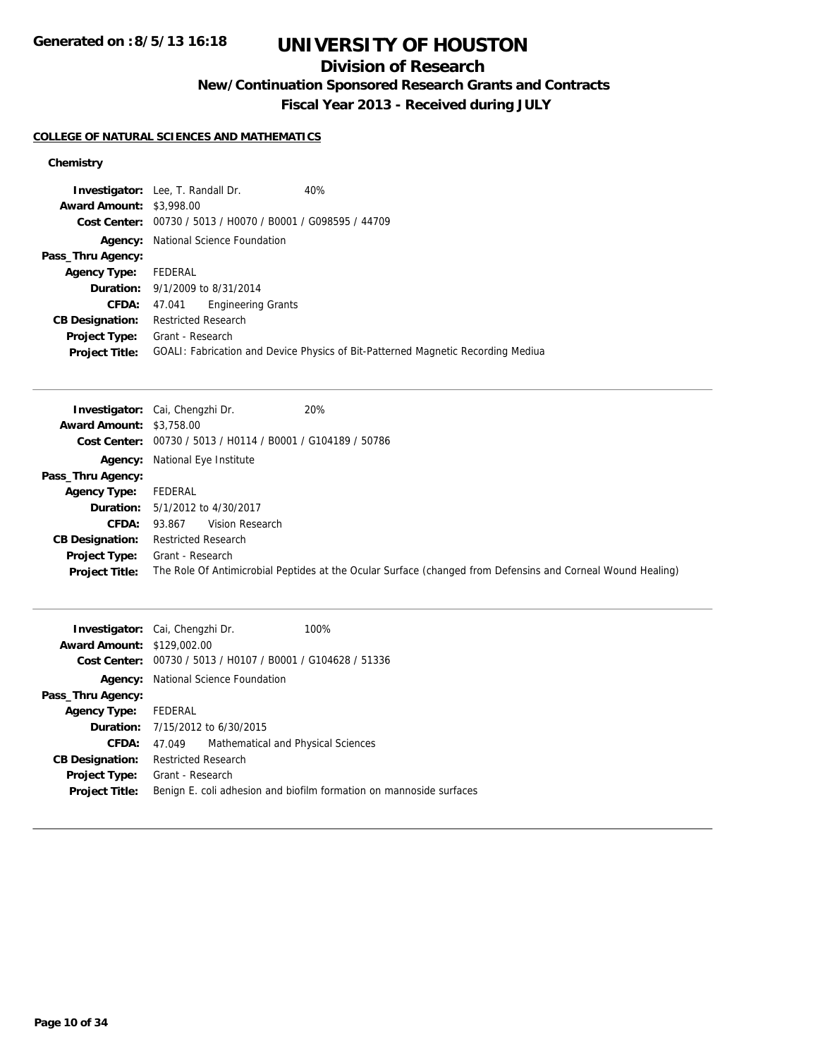## **Division of Research**

**New/Continuation Sponsored Research Grants and Contracts**

**Fiscal Year 2013 - Received during JULY**

### **COLLEGE OF NATURAL SCIENCES AND MATHEMATICS**

### **Chemistry**

| <b>Investigator:</b> Lee, T. Randall Dr.                    | 40%                                                                              |
|-------------------------------------------------------------|----------------------------------------------------------------------------------|
| <b>Award Amount: \$3,998.00</b>                             |                                                                                  |
| Cost Center: 00730 / 5013 / H0070 / B0001 / G098595 / 44709 |                                                                                  |
| <b>Agency:</b> National Science Foundation                  |                                                                                  |
|                                                             |                                                                                  |
| FEDERAL                                                     |                                                                                  |
| <b>Duration:</b> 9/1/2009 to 8/31/2014                      |                                                                                  |
| <b>Engineering Grants</b><br>47.041                         |                                                                                  |
| <b>Restricted Research</b>                                  |                                                                                  |
| Grant - Research                                            |                                                                                  |
|                                                             | GOALI: Fabrication and Device Physics of Bit-Patterned Magnetic Recording Mediua |
|                                                             |                                                                                  |

|                                 | 20%<br><b>Investigator:</b> Cai, Chengzhi Dr.                                                               |
|---------------------------------|-------------------------------------------------------------------------------------------------------------|
| <b>Award Amount: \$3,758.00</b> |                                                                                                             |
|                                 | Cost Center: 00730 / 5013 / H0114 / B0001 / G104189 / 50786                                                 |
|                                 | Agency: National Eye Institute                                                                              |
| Pass_Thru Agency:               |                                                                                                             |
| <b>Agency Type:</b>             | FEDERAL                                                                                                     |
|                                 | <b>Duration:</b> 5/1/2012 to 4/30/2017                                                                      |
| <b>CFDA:</b>                    | Vision Research<br>93.867                                                                                   |
| <b>CB Designation:</b>          | <b>Restricted Research</b>                                                                                  |
| Project Type:                   | Grant - Research                                                                                            |
| <b>Project Title:</b>           | The Role Of Antimicrobial Peptides at the Ocular Surface (changed from Defensins and Corneal Wound Healing) |

| <b>Award Amount: \$129,002.00</b> | <b>Investigator:</b> Cai, Chengzhi Dr.<br>Cost Center: 00730 / 5013 / H0107 / B0001 / G104628 / 51336 | 100%                                                                |
|-----------------------------------|-------------------------------------------------------------------------------------------------------|---------------------------------------------------------------------|
| Agency:                           | National Science Foundation                                                                           |                                                                     |
| Pass_Thru Agency:                 |                                                                                                       |                                                                     |
| Agency Type: FEDERAL              |                                                                                                       |                                                                     |
|                                   | <b>Duration:</b> 7/15/2012 to 6/30/2015                                                               |                                                                     |
| <b>CFDA:</b>                      | Mathematical and Physical Sciences<br>47.049                                                          |                                                                     |
| <b>CB Designation:</b>            | <b>Restricted Research</b>                                                                            |                                                                     |
| <b>Project Type:</b>              | Grant - Research                                                                                      |                                                                     |
| <b>Project Title:</b>             |                                                                                                       | Benign E. coli adhesion and biofilm formation on mannoside surfaces |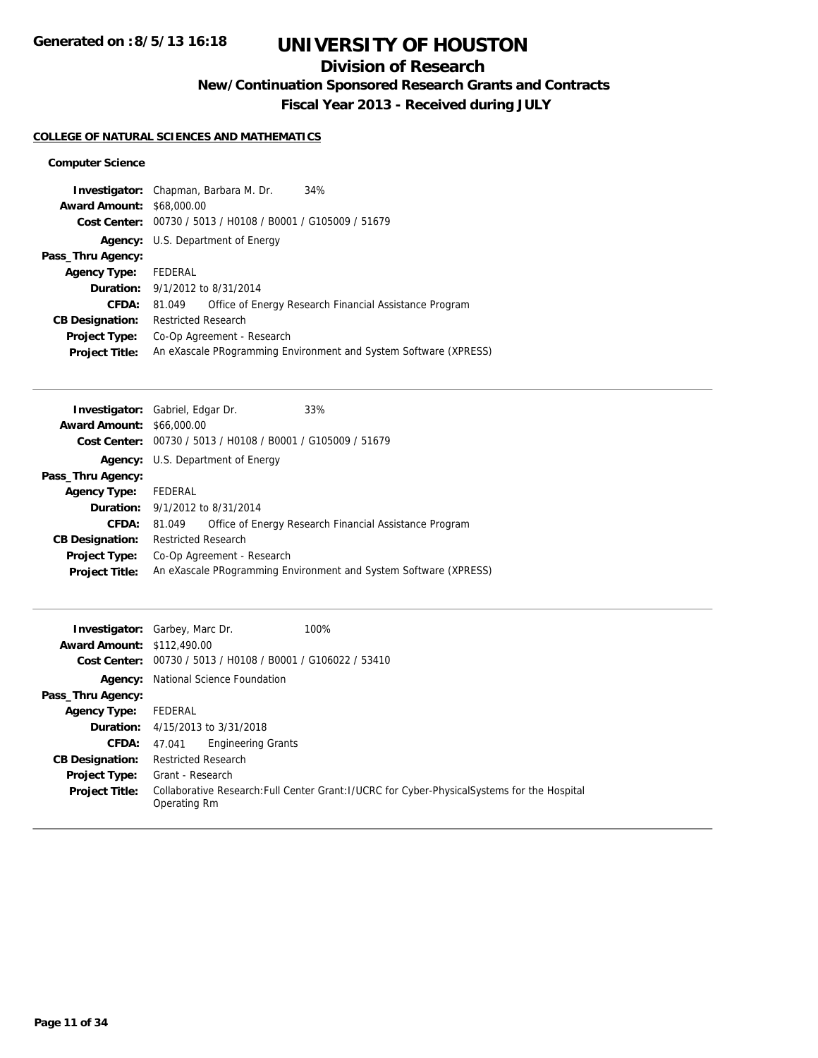## **Division of Research**

**New/Continuation Sponsored Research Grants and Contracts**

**Fiscal Year 2013 - Received during JULY**

### **COLLEGE OF NATURAL SCIENCES AND MATHEMATICS**

#### **Computer Science**

|                                  | <b>Investigator:</b> Chapman, Barbara M. Dr.<br>34%              |
|----------------------------------|------------------------------------------------------------------|
| <b>Award Amount: \$68,000.00</b> |                                                                  |
|                                  | Cost Center: 00730 / 5013 / H0108 / B0001 / G105009 / 51679      |
|                                  | <b>Agency:</b> U.S. Department of Energy                         |
| Pass_Thru Agency:                |                                                                  |
| <b>Agency Type:</b>              | FEDERAL                                                          |
|                                  | <b>Duration:</b> 9/1/2012 to 8/31/2014                           |
| CFDA:                            | Office of Energy Research Financial Assistance Program<br>81.049 |
| <b>CB Designation:</b>           | <b>Restricted Research</b>                                       |
| <b>Project Type:</b>             | Co-Op Agreement - Research                                       |
| <b>Project Title:</b>            | An eXascale PRogramming Environment and System Software (XPRESS) |
|                                  |                                                                  |

| <b>Investigator:</b> Gabriel, Edgar Dr. |                                            |                                                             | 33%                                                              |
|-----------------------------------------|--------------------------------------------|-------------------------------------------------------------|------------------------------------------------------------------|
| <b>Award Amount: \$66,000.00</b>        |                                            |                                                             |                                                                  |
|                                         |                                            | Cost Center: 00730 / 5013 / H0108 / B0001 / G105009 / 51679 |                                                                  |
|                                         |                                            | <b>Agency:</b> U.S. Department of Energy                    |                                                                  |
| Pass_Thru Agency:                       |                                            |                                                             |                                                                  |
| <b>Agency Type:</b>                     | FEDERAL                                    |                                                             |                                                                  |
|                                         | <b>Duration:</b> $9/1/2012$ to $8/31/2014$ |                                                             |                                                                  |
| CFDA:                                   | 81.049                                     |                                                             | Office of Energy Research Financial Assistance Program           |
| <b>CB Designation:</b>                  | <b>Restricted Research</b>                 |                                                             |                                                                  |
| Project Type:                           |                                            | Co-Op Agreement - Research                                  |                                                                  |
| <b>Project Title:</b>                   |                                            |                                                             | An eXascale PRogramming Environment and System Software (XPRESS) |
|                                         |                                            |                                                             |                                                                  |

| <b>Award Amount: \$112,490.00</b>             | 100%<br><b>Investigator:</b> Garbey, Marc Dr.<br>Cost Center: 00730 / 5013 / H0108 / B0001 / G106022 / 53410                      |
|-----------------------------------------------|-----------------------------------------------------------------------------------------------------------------------------------|
|                                               | <b>Agency:</b> National Science Foundation                                                                                        |
| Pass_Thru Agency:                             |                                                                                                                                   |
| <b>Agency Type:</b>                           | FEDERAL                                                                                                                           |
|                                               | <b>Duration:</b> $4/15/2013$ to $3/31/2018$                                                                                       |
| <b>CFDA:</b>                                  | <b>Engineering Grants</b><br>47.041                                                                                               |
| <b>CB Designation:</b>                        | <b>Restricted Research</b>                                                                                                        |
| <b>Project Type:</b><br><b>Project Title:</b> | Grant - Research<br>Collaborative Research: Full Center Grant: I/UCRC for Cyber-Physical Systems for the Hospital<br>Operating Rm |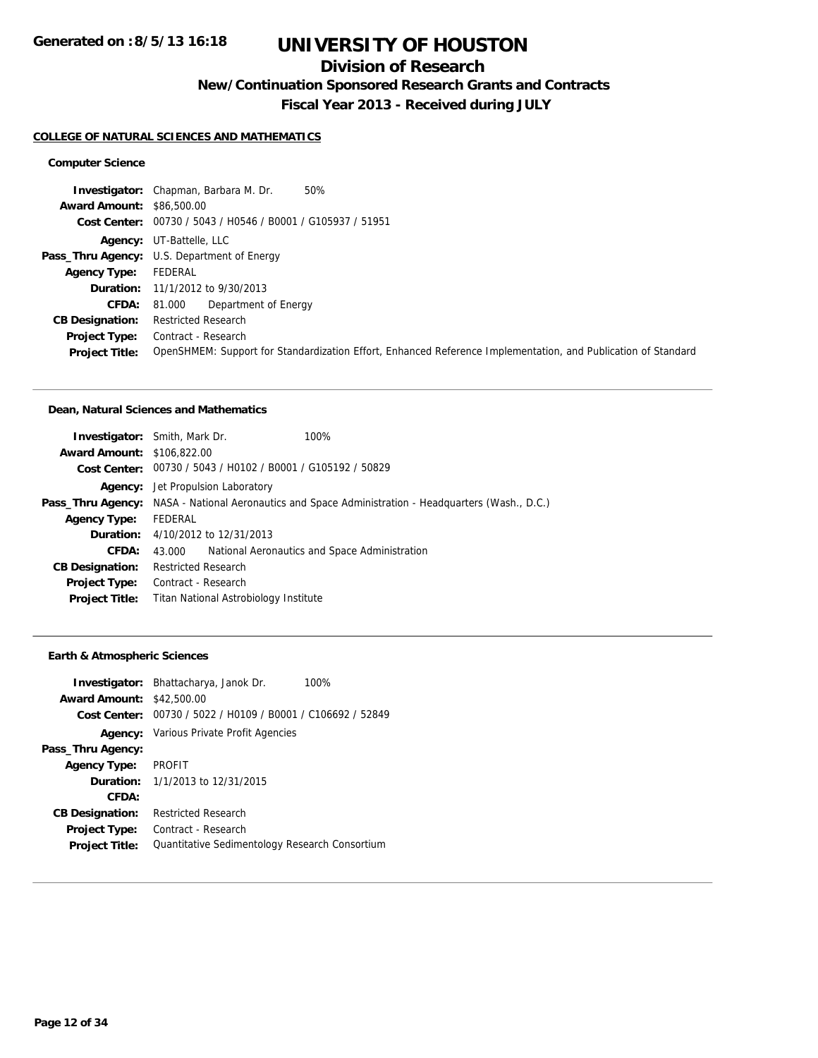## **Division of Research**

**New/Continuation Sponsored Research Grants and Contracts**

**Fiscal Year 2013 - Received during JULY**

#### **COLLEGE OF NATURAL SCIENCES AND MATHEMATICS**

### **Computer Science**

|                                  | 50%<br><b>Investigator:</b> Chapman, Barbara M. Dr.                                                           |
|----------------------------------|---------------------------------------------------------------------------------------------------------------|
| <b>Award Amount: \$86,500.00</b> |                                                                                                               |
|                                  | Cost Center: 00730 / 5043 / H0546 / B0001 / G105937 / 51951                                                   |
|                                  | <b>Agency:</b> UT-Battelle, LLC                                                                               |
|                                  | <b>Pass_Thru Agency:</b> U.S. Department of Energy                                                            |
| <b>Agency Type:</b>              | FEDERAL                                                                                                       |
|                                  | <b>Duration:</b> 11/1/2012 to 9/30/2013                                                                       |
| CFDA:                            | Department of Energy<br>81.000                                                                                |
| <b>CB Designation:</b>           | <b>Restricted Research</b>                                                                                    |
| <b>Project Type:</b>             | Contract - Research                                                                                           |
| <b>Project Title:</b>            | OpenSHMEM: Support for Standardization Effort, Enhanced Reference Implementation, and Publication of Standard |

#### **Dean, Natural Sciences and Mathematics**

| <b>Investigator:</b> Smith, Mark Dr. |                            |                                                             | 100%                                                                                                |
|--------------------------------------|----------------------------|-------------------------------------------------------------|-----------------------------------------------------------------------------------------------------|
|                                      |                            |                                                             |                                                                                                     |
| <b>Award Amount: \$106,822,00</b>    |                            |                                                             |                                                                                                     |
|                                      |                            | Cost Center: 00730 / 5043 / H0102 / B0001 / G105192 / 50829 |                                                                                                     |
|                                      |                            | <b>Agency:</b> Jet Propulsion Laboratory                    |                                                                                                     |
|                                      |                            |                                                             | Pass_Thru Agency: NASA - National Aeronautics and Space Administration - Headquarters (Wash., D.C.) |
| <b>Agency Type:</b>                  | FEDERAL                    |                                                             |                                                                                                     |
|                                      |                            | <b>Duration:</b> 4/10/2012 to 12/31/2013                    |                                                                                                     |
| <b>CFDA:</b>                         | 43.000                     |                                                             | National Aeronautics and Space Administration                                                       |
| <b>CB Designation:</b>               | <b>Restricted Research</b> |                                                             |                                                                                                     |
| Project Type:                        | Contract - Research        |                                                             |                                                                                                     |
| <b>Project Title:</b>                |                            | Titan National Astrobiology Institute                       |                                                                                                     |
|                                      |                            |                                                             |                                                                                                     |

#### **Earth & Atmospheric Sciences**

| <b>Award Amount:</b>   | <b>Investigator:</b> Bhattacharya, Janok Dr.<br>100%<br>\$42,500.00<br>Cost Center: 00730 / 5022 / H0109 / B0001 / C106692 / 52849 |
|------------------------|------------------------------------------------------------------------------------------------------------------------------------|
|                        | <b>Agency:</b> Various Private Profit Agencies                                                                                     |
| Pass_Thru Agency:      |                                                                                                                                    |
| <b>Agency Type:</b>    | <b>PROFIT</b>                                                                                                                      |
|                        | <b>Duration:</b> 1/1/2013 to 12/31/2015                                                                                            |
| CFDA:                  |                                                                                                                                    |
| <b>CB Designation:</b> | <b>Restricted Research</b>                                                                                                         |
| <b>Project Type:</b>   | Contract - Research                                                                                                                |
| <b>Project Title:</b>  | Quantitative Sedimentology Research Consortium                                                                                     |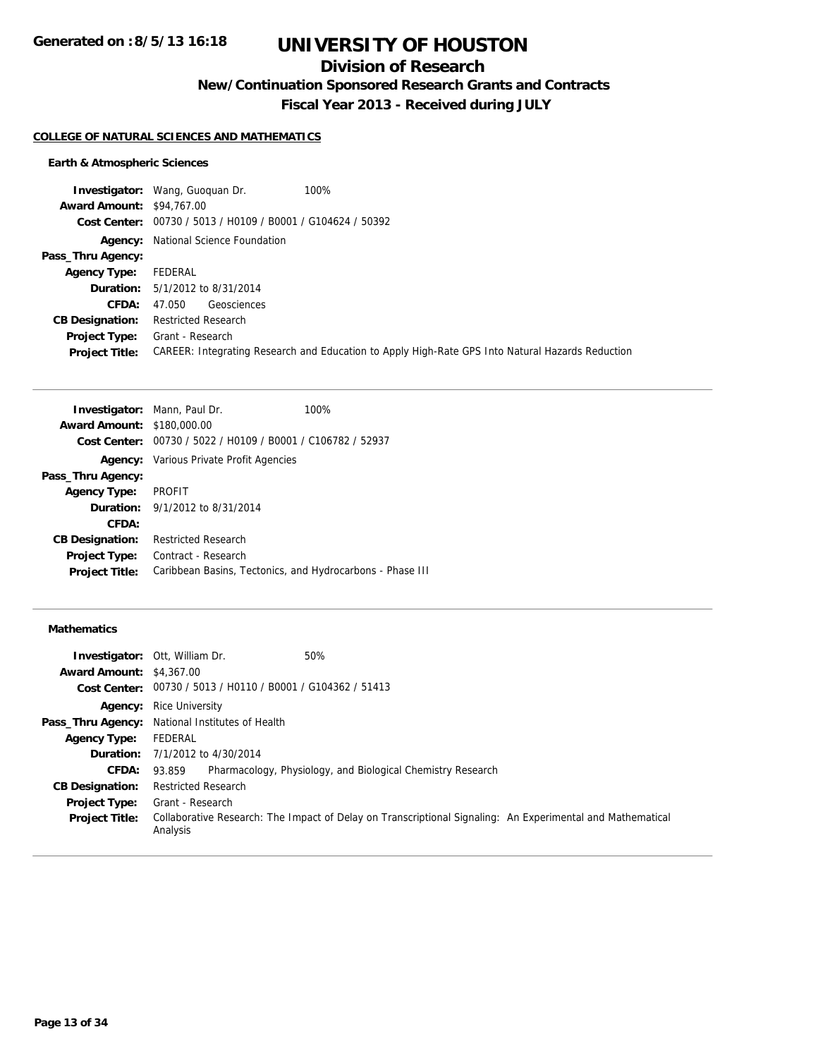## **Division of Research**

**New/Continuation Sponsored Research Grants and Contracts**

**Fiscal Year 2013 - Received during JULY**

#### **COLLEGE OF NATURAL SCIENCES AND MATHEMATICS**

### **Earth & Atmospheric Sciences**

|                                  | 100%<br><b>Investigator:</b> Wang, Guoguan Dr.                                                   |
|----------------------------------|--------------------------------------------------------------------------------------------------|
| <b>Award Amount: \$94,767.00</b> |                                                                                                  |
|                                  | Cost Center: 00730 / 5013 / H0109 / B0001 / G104624 / 50392                                      |
|                                  | <b>Agency:</b> National Science Foundation                                                       |
| Pass_Thru Agency:                |                                                                                                  |
| <b>Agency Type:</b>              | FEDERAL                                                                                          |
|                                  | <b>Duration:</b> 5/1/2012 to 8/31/2014                                                           |
| CFDA:                            | Geosciences<br>47.050                                                                            |
| <b>CB Designation:</b>           | <b>Restricted Research</b>                                                                       |
| Project Type:                    | Grant - Research                                                                                 |
| <b>Project Title:</b>            | CAREER: Integrating Research and Education to Apply High-Rate GPS Into Natural Hazards Reduction |
|                                  |                                                                                                  |

| <b>Investigator:</b> Mann, Paul Dr. |                                                             | 100% |
|-------------------------------------|-------------------------------------------------------------|------|
| <b>Award Amount: \$180,000.00</b>   |                                                             |      |
|                                     | Cost Center: 00730 / 5022 / H0109 / B0001 / C106782 / 52937 |      |
|                                     | <b>Agency:</b> Various Private Profit Agencies              |      |
| Pass_Thru Agency:                   |                                                             |      |
| <b>Agency Type:</b>                 | <b>PROFIT</b>                                               |      |
|                                     | <b>Duration:</b> $9/1/2012$ to $8/31/2014$                  |      |
| CFDA:                               |                                                             |      |
| <b>CB Designation:</b>              | <b>Restricted Research</b>                                  |      |
| <b>Project Type:</b>                | Contract - Research                                         |      |
| <b>Project Title:</b>               | Caribbean Basins, Tectonics, and Hydrocarbons - Phase III   |      |
|                                     |                                                             |      |

#### **Mathematics**

|                                 | <b>Investigator: Ott, William Dr.</b><br>50%                                                                           |
|---------------------------------|------------------------------------------------------------------------------------------------------------------------|
| <b>Award Amount: \$4,367.00</b> |                                                                                                                        |
|                                 | Cost Center: 00730 / 5013 / H0110 / B0001 / G104362 / 51413                                                            |
|                                 | <b>Agency:</b> Rice University                                                                                         |
|                                 | Pass_Thru Agency: National Institutes of Health                                                                        |
| <b>Agency Type:</b>             | FEDERAL                                                                                                                |
|                                 | <b>Duration:</b> 7/1/2012 to 4/30/2014                                                                                 |
| <b>CFDA:</b>                    | Pharmacology, Physiology, and Biological Chemistry Research<br>93.859                                                  |
| <b>CB Designation:</b>          | <b>Restricted Research</b>                                                                                             |
| <b>Project Type:</b>            | Grant - Research                                                                                                       |
| <b>Project Title:</b>           | Collaborative Research: The Impact of Delay on Transcriptional Signaling: An Experimental and Mathematical<br>Analysis |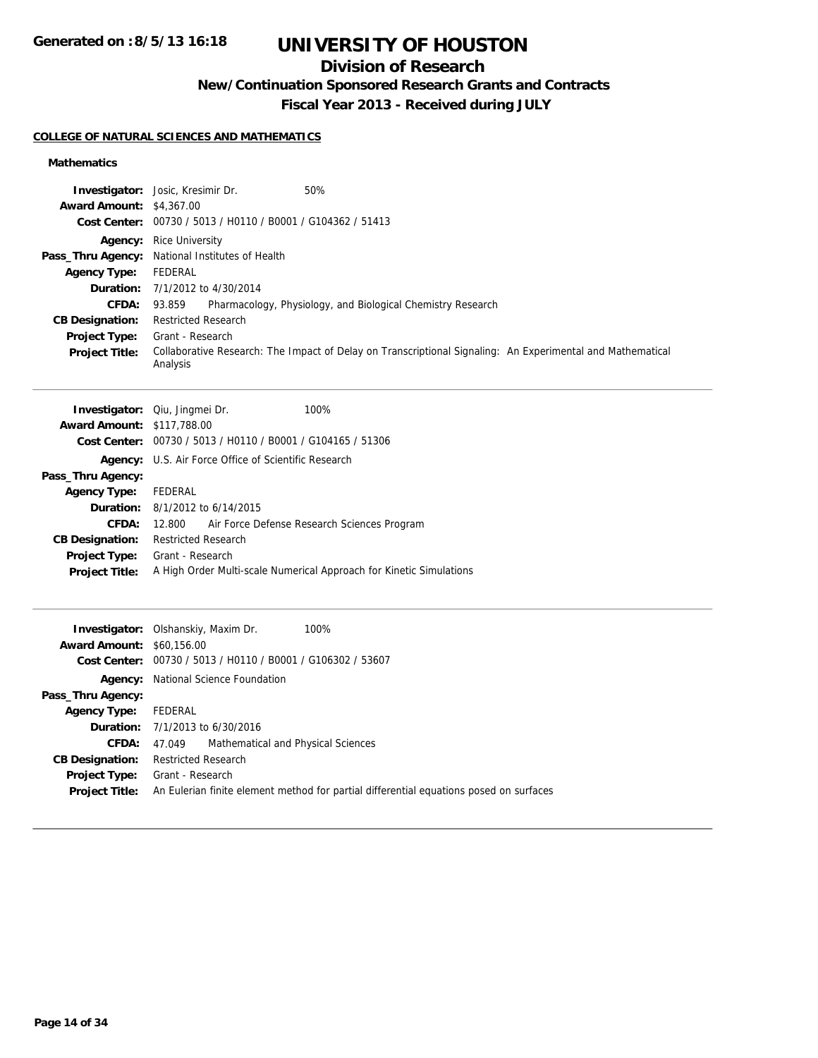## **Division of Research**

**New/Continuation Sponsored Research Grants and Contracts**

**Fiscal Year 2013 - Received during JULY**

### **COLLEGE OF NATURAL SCIENCES AND MATHEMATICS**

### **Mathematics**

| <b>Award Amount: \$4,367.00</b>        | Investigator: Josic, Kresimir Dr.<br>50%                                                                               |
|----------------------------------------|------------------------------------------------------------------------------------------------------------------------|
|                                        | Cost Center: 00730 / 5013 / H0110 / B0001 / G104362 / 51413                                                            |
|                                        | <b>Agency:</b> Rice University                                                                                         |
|                                        | Pass_Thru Agency: National Institutes of Health                                                                        |
| <b>Agency Type:</b>                    | <b>FEDERAL</b><br>Duration: 7/1/2012 to 4/30/2014                                                                      |
| <b>CFDA:</b>                           | Pharmacology, Physiology, and Biological Chemistry Research<br>93.859                                                  |
| <b>CB Designation:</b>                 | <b>Restricted Research</b>                                                                                             |
| Project Type:                          | Grant - Research                                                                                                       |
| <b>Project Title:</b>                  | Collaborative Research: The Impact of Delay on Transcriptional Signaling: An Experimental and Mathematical<br>Analysis |
|                                        | Investigator: Qiu, Jingmei Dr.<br>100%                                                                                 |
| <b>Award Amount: \$117,788.00</b>      | Cost Center: 00730 / 5013 / H0110 / B0001 / G104165 / 51306                                                            |
|                                        | Agency: U.S. Air Force Office of Scientific Research                                                                   |
| Pass_Thru Agency:                      |                                                                                                                        |
| <b>Agency Type:</b>                    | FEDERAL                                                                                                                |
| <b>Duration:</b>                       | 8/1/2012 to 6/14/2015                                                                                                  |
| <b>CFDA:</b>                           | Air Force Defense Research Sciences Program<br>12.800                                                                  |
| <b>CB Designation:</b>                 | <b>Restricted Research</b>                                                                                             |
| Project Type:<br><b>Project Title:</b> | Grant - Research<br>A High Order Multi-scale Numerical Approach for Kinetic Simulations                                |
|                                        |                                                                                                                        |
| <b>Award Amount: \$60,156,00</b>       | 100%<br>Investigator: Olshanskiy, Maxim Dr.                                                                            |
|                                        | Cost Center: 00730 / 5013 / H0110 / B0001 / G106302 / 53607                                                            |
| Agency:                                | National Science Foundation                                                                                            |
| Pass_Thru Agency:                      |                                                                                                                        |
| <b>Agency Type:</b>                    | <b>FEDERAL</b>                                                                                                         |
| Duration:                              | 7/1/2013 to 6/30/2016                                                                                                  |
| CFDA:                                  | Mathematical and Physical Sciences<br>47.049                                                                           |
| <b>CB Designation:</b>                 | <b>Restricted Research</b>                                                                                             |
| Project Type:<br>Project Title:        | Grant - Research<br>An Eulerian finite element method for partial differential equations posed on surfaces             |
|                                        |                                                                                                                        |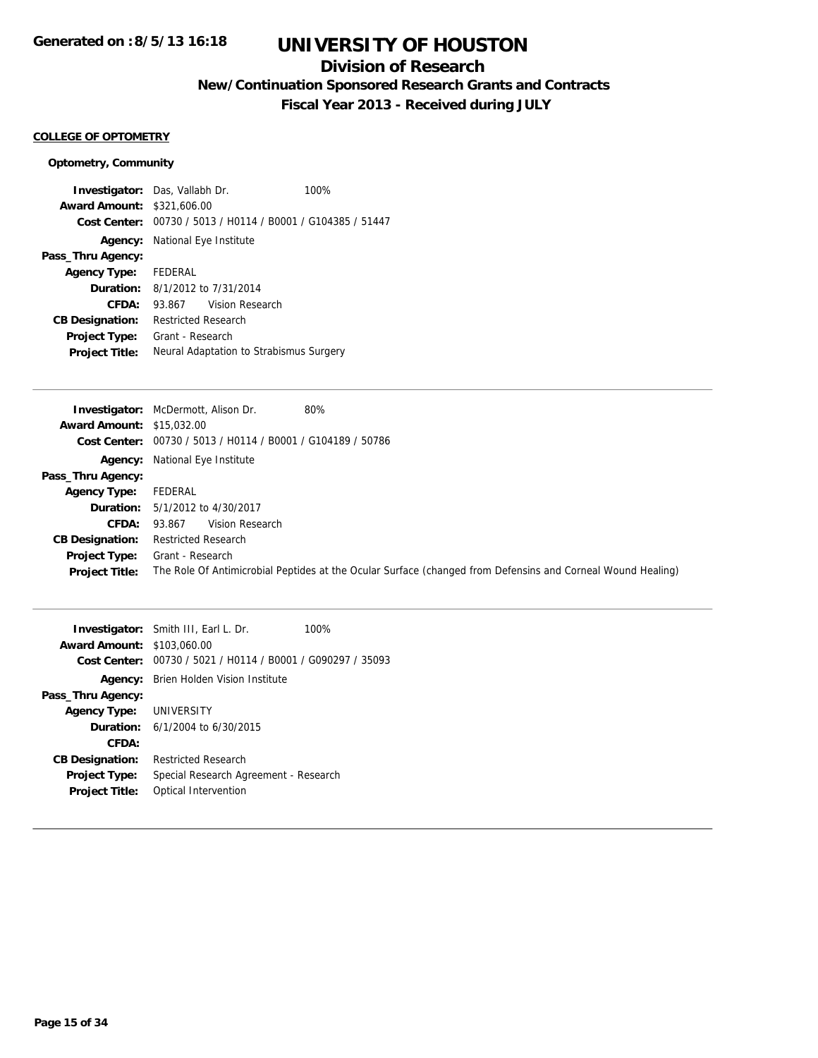## **Division of Research**

**New/Continuation Sponsored Research Grants and Contracts**

**Fiscal Year 2013 - Received during JULY**

#### **COLLEGE OF OPTOMETRY**

### **Optometry, Community**

| <b>Investigator:</b> Das, Vallabh Dr.  |                                       |                                                             | 100% |
|----------------------------------------|---------------------------------------|-------------------------------------------------------------|------|
| <b>Award Amount: \$321,606.00</b>      |                                       |                                                             |      |
|                                        |                                       | Cost Center: 00730 / 5013 / H0114 / B0001 / G104385 / 51447 |      |
|                                        | <b>Agency:</b> National Eye Institute |                                                             |      |
| Pass_Thru Agency:                      |                                       |                                                             |      |
| Agency Type: FEDERAL                   |                                       |                                                             |      |
| <b>Duration:</b> 8/1/2012 to 7/31/2014 |                                       |                                                             |      |
| CFDA:                                  |                                       | 93.867 Vision Research                                      |      |
| <b>CB Designation:</b>                 | <b>Restricted Research</b>            |                                                             |      |
| <b>Project Type:</b>                   | Grant - Research                      |                                                             |      |
| <b>Project Title:</b>                  |                                       | Neural Adaptation to Strabismus Surgery                     |      |

| 80%<br><b>Investigator:</b> McDermott, Alison Dr.                                                           |
|-------------------------------------------------------------------------------------------------------------|
| <b>Award Amount: \$15,032.00</b>                                                                            |
| Cost Center: 00730 / 5013 / H0114 / B0001 / G104189 / 50786                                                 |
| <b>Agency:</b> National Eye Institute                                                                       |
|                                                                                                             |
| FEDERAL                                                                                                     |
| <b>Duration:</b> 5/1/2012 to 4/30/2017                                                                      |
| Vision Research<br>93.867                                                                                   |
| <b>Restricted Research</b>                                                                                  |
| Grant - Research                                                                                            |
| The Role Of Antimicrobial Peptides at the Ocular Surface (changed from Defensins and Corneal Wound Healing) |
|                                                                                                             |

|                                   | <b>Investigator:</b> Smith III, Earl L. Dr.                 | 100% |
|-----------------------------------|-------------------------------------------------------------|------|
| <b>Award Amount: \$103,060.00</b> |                                                             |      |
|                                   | Cost Center: 00730 / 5021 / H0114 / B0001 / G090297 / 35093 |      |
| Agency:                           | Brien Holden Vision Institute                               |      |
| Pass_Thru Agency:                 |                                                             |      |
| <b>Agency Type: UNIVERSITY</b>    |                                                             |      |
|                                   | <b>Duration:</b> $6/1/2004$ to $6/30/2015$                  |      |
| CFDA:                             |                                                             |      |
| <b>CB Designation:</b>            | <b>Restricted Research</b>                                  |      |
| <b>Project Type:</b>              | Special Research Agreement - Research                       |      |
| <b>Project Title:</b>             | Optical Intervention                                        |      |
|                                   |                                                             |      |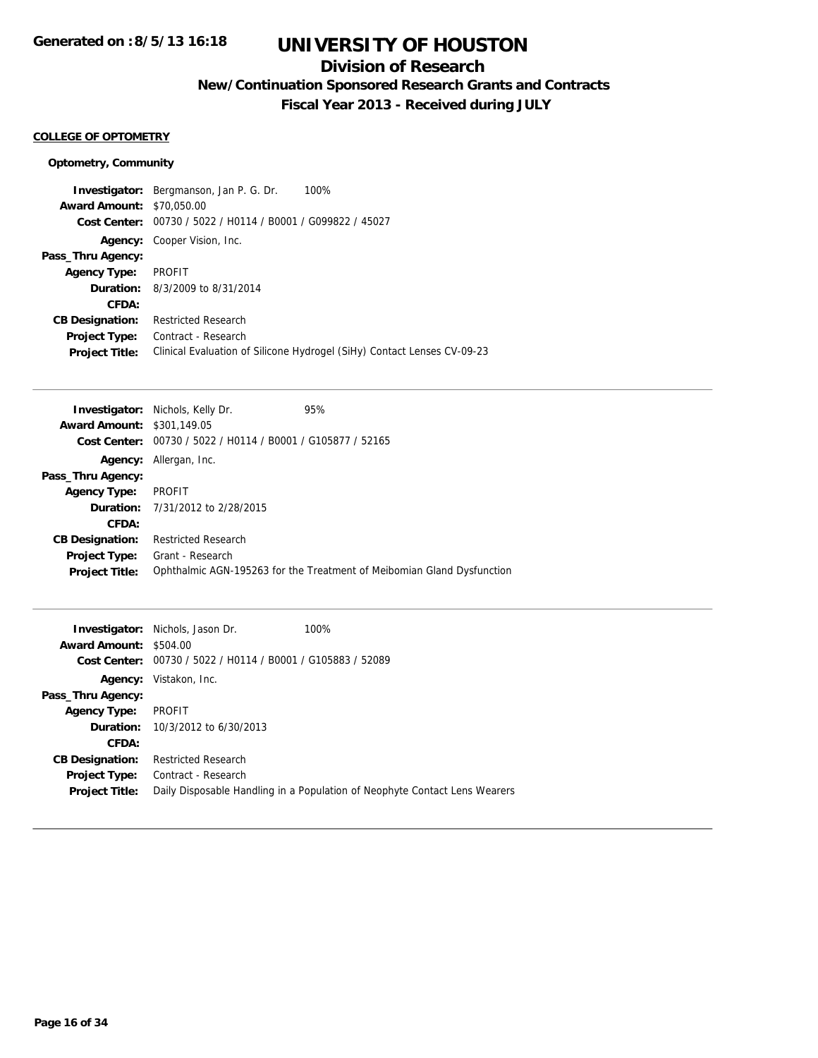## **Division of Research**

**New/Continuation Sponsored Research Grants and Contracts**

**Fiscal Year 2013 - Received during JULY**

#### **COLLEGE OF OPTOMETRY**

### **Optometry, Community**

|                                  | <b>Investigator:</b> Bergmanson, Jan P. G. Dr. | 100%                                                                    |
|----------------------------------|------------------------------------------------|-------------------------------------------------------------------------|
| <b>Award Amount: \$70,050.00</b> |                                                |                                                                         |
| Cost Center:                     | 00730 / 5022 / H0114 / B0001 / G099822 / 45027 |                                                                         |
| Agency:                          | Cooper Vision, Inc.                            |                                                                         |
| Pass_Thru Agency:                |                                                |                                                                         |
| <b>Agency Type:</b>              | <b>PROFIT</b>                                  |                                                                         |
|                                  | <b>Duration:</b> 8/3/2009 to 8/31/2014         |                                                                         |
| CFDA:                            |                                                |                                                                         |
| <b>CB Designation:</b>           | <b>Restricted Research</b>                     |                                                                         |
| <b>Project Type:</b>             | Contract - Research                            |                                                                         |
| <b>Project Title:</b>            |                                                | Clinical Evaluation of Silicone Hydrogel (SiHy) Contact Lenses CV-09-23 |

|                                   | <b>Investigator:</b> Nichols, Kelly Dr.                     | 95%                                                                    |
|-----------------------------------|-------------------------------------------------------------|------------------------------------------------------------------------|
| <b>Award Amount: \$301,149.05</b> |                                                             |                                                                        |
|                                   | Cost Center: 00730 / 5022 / H0114 / B0001 / G105877 / 52165 |                                                                        |
|                                   | <b>Agency:</b> Allergan, Inc.                               |                                                                        |
| Pass_Thru Agency:                 |                                                             |                                                                        |
| <b>Agency Type:</b>               | <b>PROFIT</b>                                               |                                                                        |
|                                   | <b>Duration:</b> 7/31/2012 to 2/28/2015                     |                                                                        |
| CFDA:                             |                                                             |                                                                        |
| <b>CB Designation:</b>            | <b>Restricted Research</b>                                  |                                                                        |
| <b>Project Type:</b>              | Grant - Research                                            |                                                                        |
| <b>Project Title:</b>             |                                                             | Ophthalmic AGN-195263 for the Treatment of Meibomian Gland Dysfunction |
|                                   |                                                             |                                                                        |

|                               | <b>Investigator:</b> Nichols, Jason Dr.                     | 100%                                                                       |
|-------------------------------|-------------------------------------------------------------|----------------------------------------------------------------------------|
| <b>Award Amount: \$504.00</b> |                                                             |                                                                            |
|                               | Cost Center: 00730 / 5022 / H0114 / B0001 / G105883 / 52089 |                                                                            |
| Agency:                       | Vistakon, Inc.                                              |                                                                            |
| Pass_Thru Agency:             |                                                             |                                                                            |
| <b>Agency Type:</b>           | PROFIT                                                      |                                                                            |
|                               | <b>Duration:</b> 10/3/2012 to 6/30/2013                     |                                                                            |
| CFDA:                         |                                                             |                                                                            |
| <b>CB Designation:</b>        | <b>Restricted Research</b>                                  |                                                                            |
| <b>Project Type:</b>          | Contract - Research                                         |                                                                            |
| <b>Project Title:</b>         |                                                             | Daily Disposable Handling in a Population of Neophyte Contact Lens Wearers |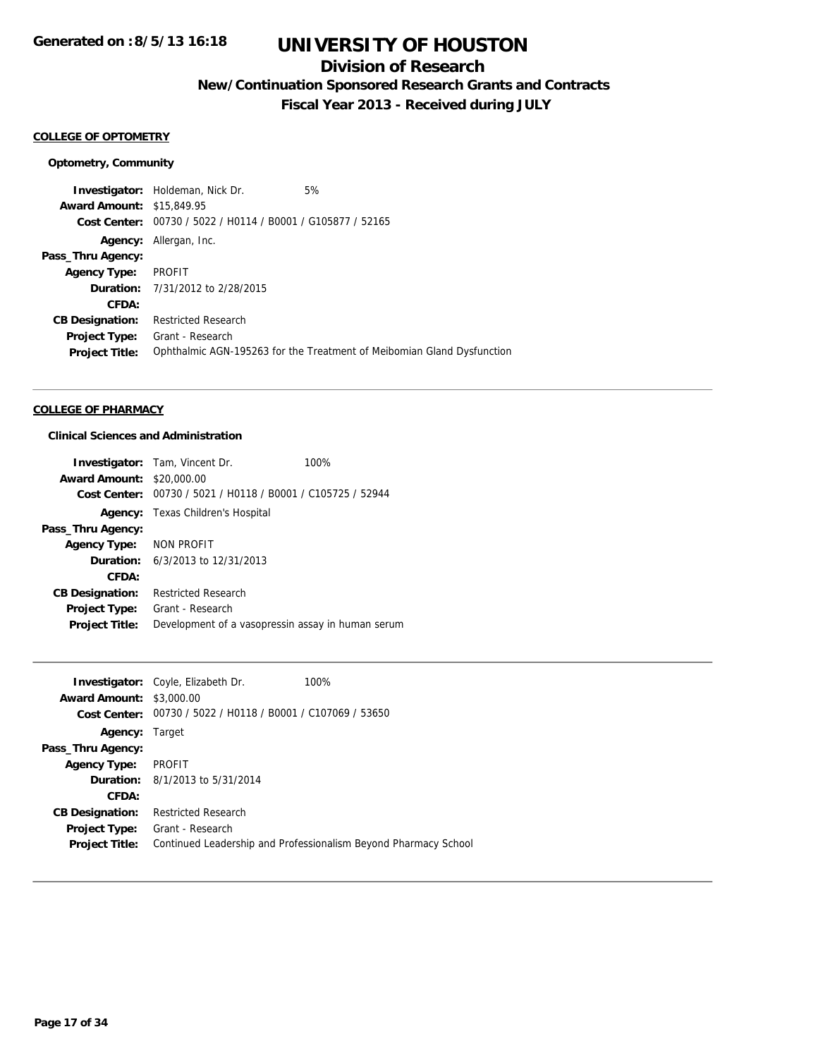## **Division of Research**

**New/Continuation Sponsored Research Grants and Contracts**

**Fiscal Year 2013 - Received during JULY**

### **COLLEGE OF OPTOMETRY**

#### **Optometry, Community**

**Investigator:** Holdeman, Nick Dr. 5% **Award Amount:** \$15,849.95 **Cost Center:** 00730 / 5022 / H0114 / B0001 / G105877 / 52165 **Agency:** Allergan, Inc. **Pass\_Thru Agency: Agency Type:** PROFIT **Duration:** 7/31/2012 to 2/28/2015 **CFDA: CB Designation:** Restricted Research **Project Type:** Grant - Research **Project Title:** Ophthalmic AGN-195263 for the Treatment of Meibomian Gland Dysfunction

#### **COLLEGE OF PHARMACY**

#### **Clinical Sciences and Administration**

|                                  | <b>Investigator:</b> Tam, Vincent Dr.                       | 100% |
|----------------------------------|-------------------------------------------------------------|------|
| <b>Award Amount: \$20,000.00</b> |                                                             |      |
|                                  | Cost Center: 00730 / 5021 / H0118 / B0001 / C105725 / 52944 |      |
|                                  | <b>Agency:</b> Texas Children's Hospital                    |      |
| Pass_Thru Agency:                |                                                             |      |
| Agency Type: NON PROFIT          |                                                             |      |
|                                  | <b>Duration:</b> $6/3/2013$ to $12/31/2013$                 |      |
| CFDA:                            |                                                             |      |
| <b>CB Designation:</b>           | <b>Restricted Research</b>                                  |      |
| Project Type:                    | Grant - Research                                            |      |
| <b>Project Title:</b>            | Development of a vasopressin assay in human serum           |      |

|                                 | <b>Investigator:</b> Coyle, Elizabeth Dr.                   | 100%                                                            |
|---------------------------------|-------------------------------------------------------------|-----------------------------------------------------------------|
| <b>Award Amount: \$3,000.00</b> |                                                             |                                                                 |
|                                 | Cost Center: 00730 / 5022 / H0118 / B0001 / C107069 / 53650 |                                                                 |
| <b>Agency: Target</b>           |                                                             |                                                                 |
| Pass_Thru Agency:               |                                                             |                                                                 |
| <b>Agency Type:</b>             | <b>PROFIT</b>                                               |                                                                 |
|                                 | <b>Duration:</b> 8/1/2013 to 5/31/2014                      |                                                                 |
| CFDA:                           |                                                             |                                                                 |
| <b>CB Designation:</b>          | <b>Restricted Research</b>                                  |                                                                 |
| <b>Project Type:</b>            | Grant - Research                                            |                                                                 |
| <b>Project Title:</b>           |                                                             | Continued Leadership and Professionalism Beyond Pharmacy School |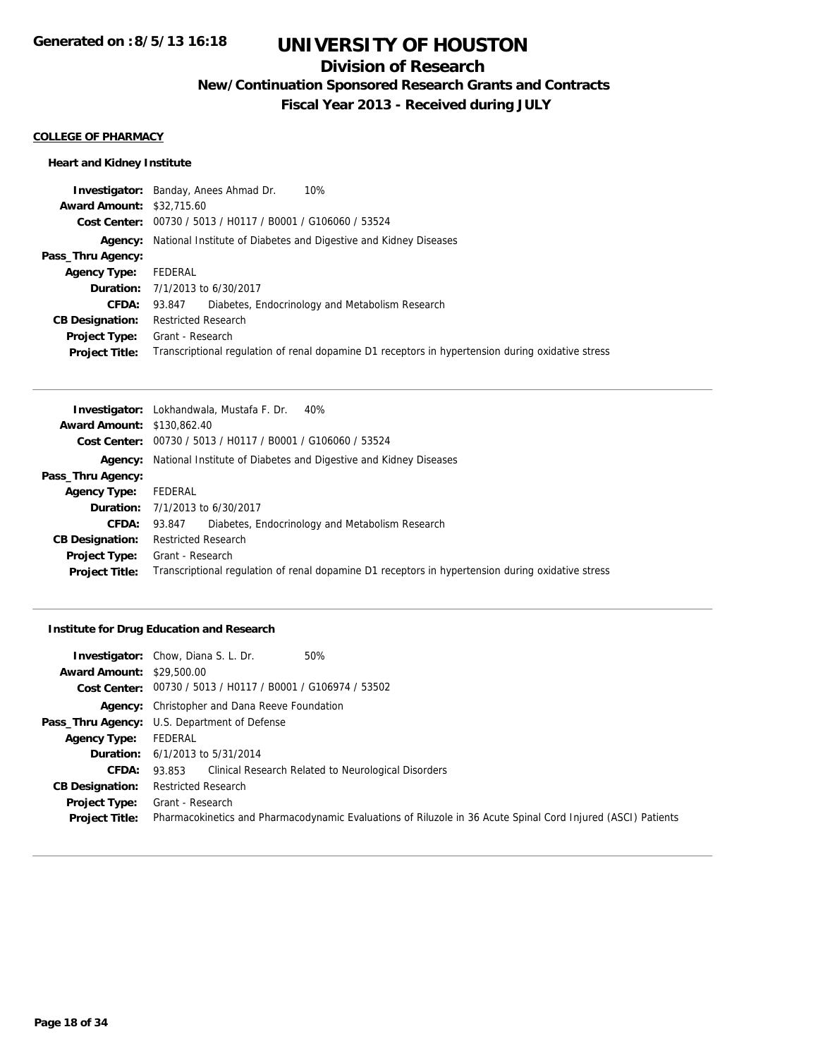## **Division of Research**

**New/Continuation Sponsored Research Grants and Contracts**

**Fiscal Year 2013 - Received during JULY**

#### **COLLEGE OF PHARMACY**

### **Heart and Kidney Institute**

|                                  | <b>Investigator:</b> Banday, Anees Ahmad Dr.<br>10%                                               |
|----------------------------------|---------------------------------------------------------------------------------------------------|
| <b>Award Amount: \$32,715.60</b> |                                                                                                   |
|                                  | Cost Center: 00730 / 5013 / H0117 / B0001 / G106060 / 53524                                       |
| Agency:                          | National Institute of Diabetes and Digestive and Kidney Diseases                                  |
| Pass_Thru Agency:                |                                                                                                   |
| <b>Agency Type:</b>              | FEDERAL                                                                                           |
|                                  | <b>Duration:</b> 7/1/2013 to 6/30/2017                                                            |
| CFDA:                            | Diabetes, Endocrinology and Metabolism Research<br>93.847                                         |
| <b>CB Designation:</b>           | <b>Restricted Research</b>                                                                        |
| Project Type:                    | Grant - Research                                                                                  |
| <b>Project Title:</b>            | Transcriptional regulation of renal dopamine D1 receptors in hypertension during oxidative stress |

|                                   | <b>Investigator:</b> Lokhandwala, Mustafa F. Dr. 40%                                              |  |
|-----------------------------------|---------------------------------------------------------------------------------------------------|--|
| <b>Award Amount: \$130,862.40</b> |                                                                                                   |  |
|                                   | Cost Center: 00730 / 5013 / H0117 / B0001 / G106060 / 53524                                       |  |
| Agency:                           | National Institute of Diabetes and Digestive and Kidney Diseases                                  |  |
| Pass_Thru Agency:                 |                                                                                                   |  |
| <b>Agency Type:</b>               | FEDERAL                                                                                           |  |
|                                   | <b>Duration:</b> 7/1/2013 to 6/30/2017                                                            |  |
| <b>CFDA:</b>                      | Diabetes, Endocrinology and Metabolism Research<br>93.847                                         |  |
| <b>CB Designation:</b>            | <b>Restricted Research</b>                                                                        |  |
| <b>Project Type:</b>              | Grant - Research                                                                                  |  |
| <b>Project Title:</b>             | Transcriptional regulation of renal dopamine D1 receptors in hypertension during oxidative stress |  |

### **Institute for Drug Education and Research**

|                                  | <b>Investigator:</b> Chow, Diana S. L. Dr.<br>50%                                                            |
|----------------------------------|--------------------------------------------------------------------------------------------------------------|
| <b>Award Amount: \$29,500.00</b> |                                                                                                              |
|                                  | Cost Center: $00730 / 5013 / 40117 / 80001 / 6106974 / 53502$                                                |
|                                  | Agency: Christopher and Dana Reeve Foundation                                                                |
|                                  | <b>Pass_Thru Agency:</b> U.S. Department of Defense                                                          |
| <b>Agency Type:</b>              | FEDERAL                                                                                                      |
|                                  | <b>Duration:</b> $6/1/2013$ to $5/31/2014$                                                                   |
| <b>CFDA:</b>                     | Clinical Research Related to Neurological Disorders<br>93.853                                                |
| <b>CB Designation:</b>           | <b>Restricted Research</b>                                                                                   |
| Project Type:                    | Grant - Research                                                                                             |
| <b>Project Title:</b>            | Pharmacokinetics and Pharmacodynamic Evaluations of Riluzole in 36 Acute Spinal Cord Injured (ASCI) Patients |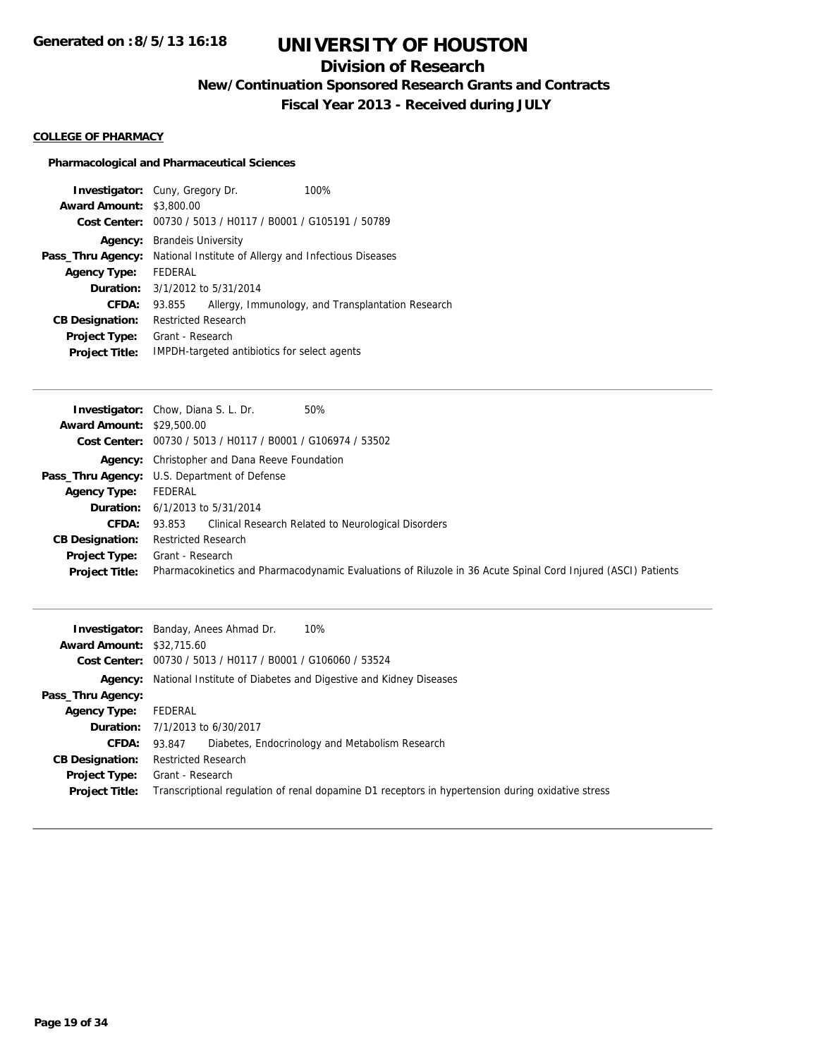## **Division of Research**

**New/Continuation Sponsored Research Grants and Contracts**

**Fiscal Year 2013 - Received during JULY**

#### **COLLEGE OF PHARMACY**

### **Pharmacological and Pharmaceutical Sciences**

|                                 | <b>Investigator:</b> Cuny, Gregory Dr.                | 100%                                              |
|---------------------------------|-------------------------------------------------------|---------------------------------------------------|
| <b>Award Amount: \$3,800.00</b> |                                                       |                                                   |
| Cost Center:                    | 00730 / 5013 / H0117 / B0001 / G105191 / 50789        |                                                   |
| Agency:                         | <b>Brandels University</b>                            |                                                   |
| Pass_Thru Agency:               | National Institute of Allergy and Infectious Diseases |                                                   |
| <b>Agency Type:</b>             | FFDFRAL                                               |                                                   |
| Duration:                       | 3/1/2012 to 5/31/2014                                 |                                                   |
| <b>CFDA:</b>                    | 93.855                                                | Allergy, Immunology, and Transplantation Research |
| <b>CB Designation:</b>          | <b>Restricted Research</b>                            |                                                   |
| <b>Project Type:</b>            | Grant - Research                                      |                                                   |
| <b>Project Title:</b>           | IMPDH-targeted antibiotics for select agents          |                                                   |

|                                  | <b>Investigator:</b> Chow, Diana S. L. Dr.<br>50%                                                            |
|----------------------------------|--------------------------------------------------------------------------------------------------------------|
| <b>Award Amount: \$29,500.00</b> |                                                                                                              |
|                                  | Cost Center: 00730 / 5013 / H0117 / B0001 / G106974 / 53502                                                  |
|                                  | <b>Agency:</b> Christopher and Dana Reeve Foundation                                                         |
|                                  | <b>Pass_Thru Agency:</b> U.S. Department of Defense                                                          |
| <b>Agency Type:</b>              | FEDERAL                                                                                                      |
|                                  | <b>Duration:</b> $6/1/2013$ to $5/31/2014$                                                                   |
| <b>CFDA:</b>                     | Clinical Research Related to Neurological Disorders<br>93.853                                                |
| <b>CB Designation:</b>           | <b>Restricted Research</b>                                                                                   |
| Project Type:                    | Grant - Research                                                                                             |
| <b>Project Title:</b>            | Pharmacokinetics and Pharmacodynamic Evaluations of Riluzole in 36 Acute Spinal Cord Injured (ASCI) Patients |
|                                  |                                                                                                              |

|                                  | 10%<br><b>Investigator:</b> Banday, Anees Ahmad Dr.                                               |
|----------------------------------|---------------------------------------------------------------------------------------------------|
| <b>Award Amount: \$32,715.60</b> |                                                                                                   |
|                                  | Cost Center: 00730 / 5013 / H0117 / B0001 / G106060 / 53524                                       |
|                                  | <b>Agency:</b> National Institute of Diabetes and Digestive and Kidney Diseases                   |
| Pass_Thru Agency:                |                                                                                                   |
| <b>Agency Type:</b>              | FEDERAL                                                                                           |
|                                  | <b>Duration:</b> 7/1/2013 to 6/30/2017                                                            |
| <b>CFDA:</b>                     | Diabetes, Endocrinology and Metabolism Research<br>93.847                                         |
| <b>CB Designation:</b>           | <b>Restricted Research</b>                                                                        |
| Project Type:                    | Grant - Research                                                                                  |
| <b>Project Title:</b>            | Transcriptional regulation of renal dopamine D1 receptors in hypertension during oxidative stress |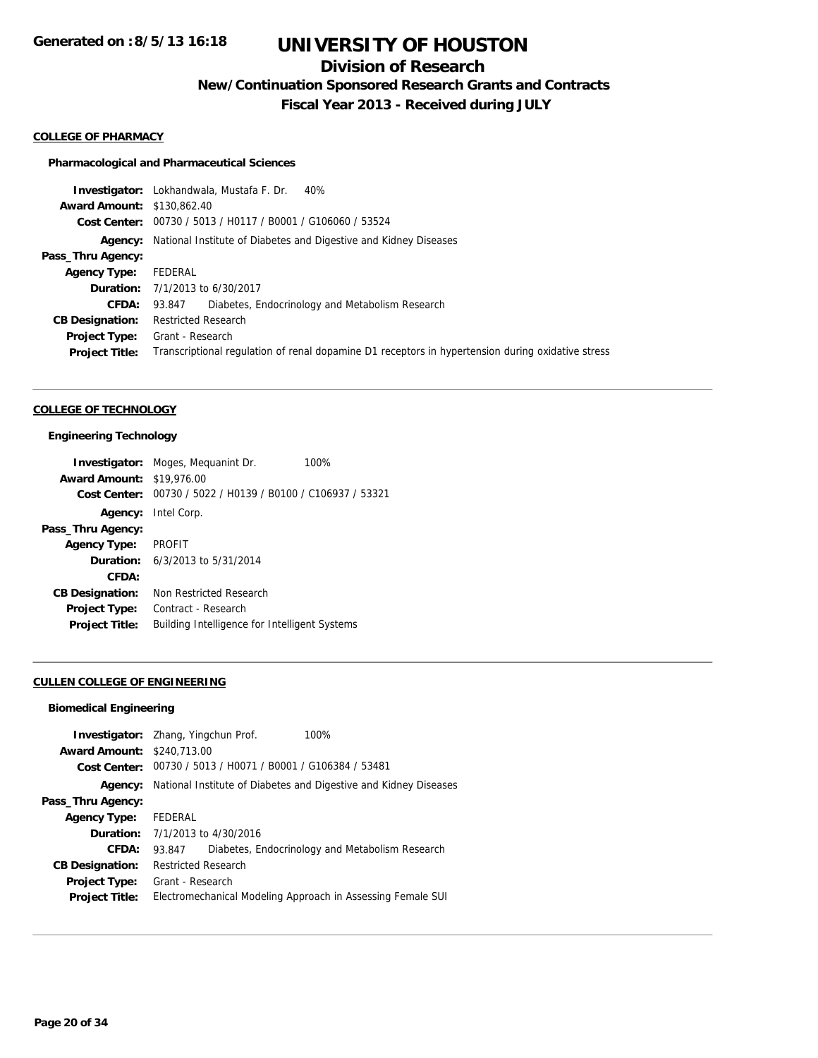## **Division of Research**

**New/Continuation Sponsored Research Grants and Contracts**

**Fiscal Year 2013 - Received during JULY**

#### **COLLEGE OF PHARMACY**

#### **Pharmacological and Pharmaceutical Sciences**

**Investigator:** Lokhandwala, Mustafa F. Dr. 40% **Award Amount:** \$130,862.40 **Cost Center:** 00730 / 5013 / H0117 / B0001 / G106060 / 53524 **Agency:** National Institute of Diabetes and Digestive and Kidney Diseases **Pass\_Thru Agency: Agency Type:** FEDERAL **Duration:** 7/1/2013 to 6/30/2017 **CFDA:** 93.847 Diabetes, Endocrinology and Metabolism Research **CB Designation:** Restricted Research **Project Type:** Grant - Research **Project Title:** Transcriptional regulation of renal dopamine D1 receptors in hypertension during oxidative stress

#### **COLLEGE OF TECHNOLOGY**

#### **Engineering Technology**

|                                  | <b>Investigator:</b> Moges, Mequanint Dr.      | 100% |
|----------------------------------|------------------------------------------------|------|
| <b>Award Amount: \$19,976.00</b> |                                                |      |
| Cost Center:                     | 00730 / 5022 / H0139 / B0100 / C106937 / 53321 |      |
|                                  | <b>Agency:</b> Intel Corp.                     |      |
| Pass_Thru Agency:                |                                                |      |
| <b>Agency Type:</b>              | <b>PROFIT</b>                                  |      |
|                                  | <b>Duration:</b> 6/3/2013 to 5/31/2014         |      |
| CFDA:                            |                                                |      |
| <b>CB Designation:</b>           | Non Restricted Research                        |      |
| <b>Project Type:</b>             | Contract - Research                            |      |
| <b>Project Title:</b>            | Building Intelligence for Intelligent Systems  |      |

#### **CULLEN COLLEGE OF ENGINEERING**

#### **Biomedical Engineering**

| National Institute of Diabetes and Digestive and Kidney Diseases<br>Agency:<br>Pass_Thru Agency:<br>FEDERAL<br><b>Agency Type:</b><br><b>Duration:</b> $7/1/2013$ to $4/30/2016$<br>CFDA:<br>Diabetes, Endocrinology and Metabolism Research<br>93.847<br><b>Restricted Research</b><br><b>CB Designation:</b><br>Grant - Research<br><b>Project Type:</b><br>Electromechanical Modeling Approach in Assessing Female SUI<br><b>Project Title:</b> | <b>Investigator:</b> Zhang, Yingchun Prof.<br><b>Award Amount: \$240.713.00</b><br>Cost Center: | 00730 / 5013 / H0071 / B0001 / G106384 / 53481 | 100% |
|----------------------------------------------------------------------------------------------------------------------------------------------------------------------------------------------------------------------------------------------------------------------------------------------------------------------------------------------------------------------------------------------------------------------------------------------------|-------------------------------------------------------------------------------------------------|------------------------------------------------|------|
|                                                                                                                                                                                                                                                                                                                                                                                                                                                    |                                                                                                 |                                                |      |
|                                                                                                                                                                                                                                                                                                                                                                                                                                                    |                                                                                                 |                                                |      |
|                                                                                                                                                                                                                                                                                                                                                                                                                                                    |                                                                                                 |                                                |      |
|                                                                                                                                                                                                                                                                                                                                                                                                                                                    |                                                                                                 |                                                |      |
|                                                                                                                                                                                                                                                                                                                                                                                                                                                    |                                                                                                 |                                                |      |
|                                                                                                                                                                                                                                                                                                                                                                                                                                                    |                                                                                                 |                                                |      |
|                                                                                                                                                                                                                                                                                                                                                                                                                                                    |                                                                                                 |                                                |      |
|                                                                                                                                                                                                                                                                                                                                                                                                                                                    |                                                                                                 |                                                |      |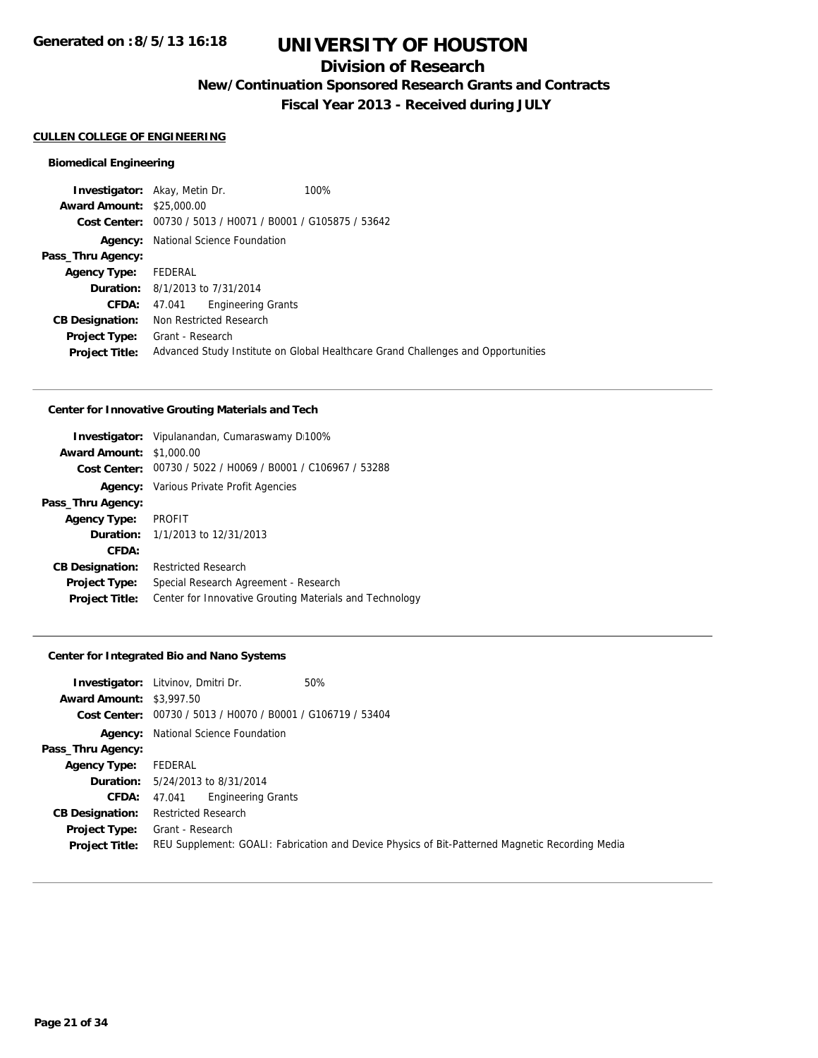### **Division of Research**

**New/Continuation Sponsored Research Grants and Contracts**

**Fiscal Year 2013 - Received during JULY**

### **CULLEN COLLEGE OF ENGINEERING**

#### **Biomedical Engineering**

**Investigator:** Akay, Metin Dr. 100% **Award Amount:** \$25,000.00 **Cost Center:** 00730 / 5013 / H0071 / B0001 / G105875 / 53642 **Agency:** National Science Foundation **Pass\_Thru Agency: Agency Type:** FEDERAL **Duration:** 8/1/2013 to 7/31/2014 **CFDA:** 47.041 Engineering Grants **CB Designation:** Non Restricted Research **Project Type:** Grant - Research **Project Title:** Advanced Study Institute on Global Healthcare Grand Challenges and Opportunities

#### **Center for Innovative Grouting Materials and Tech**

|                                 | <b>Investigator:</b> Vipulanandan, Cumaraswamy D100%        |
|---------------------------------|-------------------------------------------------------------|
| <b>Award Amount: \$1,000.00</b> |                                                             |
|                                 | Cost Center: 00730 / 5022 / H0069 / B0001 / C106967 / 53288 |
|                                 | <b>Agency:</b> Various Private Profit Agencies              |
| Pass_Thru Agency:               |                                                             |
| <b>Agency Type:</b>             | PROFIT                                                      |
|                                 | <b>Duration:</b> $1/1/2013$ to $12/31/2013$                 |
| CFDA:                           |                                                             |
| <b>CB Designation:</b>          | <b>Restricted Research</b>                                  |
| Project Type:                   | Special Research Agreement - Research                       |
| <b>Project Title:</b>           | Center for Innovative Grouting Materials and Technology     |

#### **Center for Integrated Bio and Nano Systems**

|                                 | <b>Investigator:</b> Litvinov, Dmitri Dr.                   | 50%                                                                                             |
|---------------------------------|-------------------------------------------------------------|-------------------------------------------------------------------------------------------------|
| <b>Award Amount: \$3,997.50</b> |                                                             |                                                                                                 |
|                                 | Cost Center: 00730 / 5013 / H0070 / B0001 / G106719 / 53404 |                                                                                                 |
|                                 | <b>Agency:</b> National Science Foundation                  |                                                                                                 |
| Pass_Thru Agency:               |                                                             |                                                                                                 |
| <b>Agency Type:</b>             | FEDERAL                                                     |                                                                                                 |
|                                 | <b>Duration:</b> 5/24/2013 to 8/31/2014                     |                                                                                                 |
| <b>CFDA:</b>                    | <b>Engineering Grants</b><br>47.041                         |                                                                                                 |
| <b>CB Designation:</b>          | <b>Restricted Research</b>                                  |                                                                                                 |
| <b>Project Type:</b>            | Grant - Research                                            |                                                                                                 |
| <b>Project Title:</b>           |                                                             | REU Supplement: GOALI: Fabrication and Device Physics of Bit-Patterned Magnetic Recording Media |
|                                 |                                                             |                                                                                                 |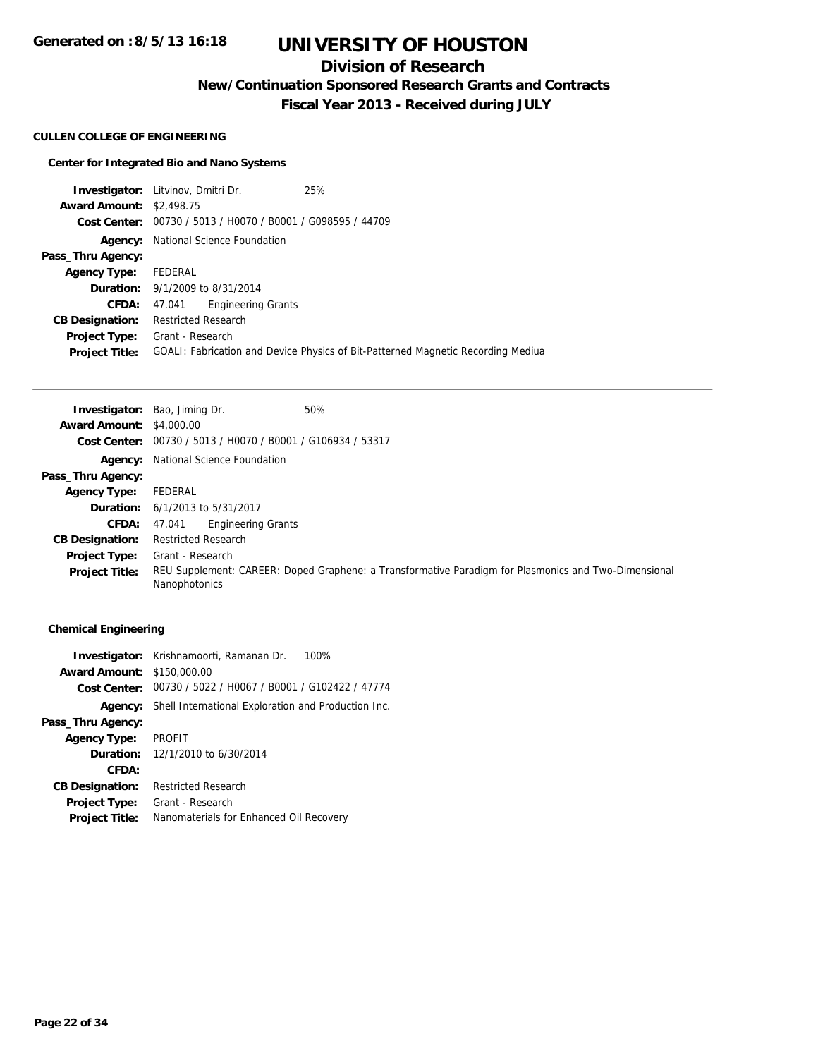## **Division of Research**

**New/Continuation Sponsored Research Grants and Contracts**

**Fiscal Year 2013 - Received during JULY**

### **CULLEN COLLEGE OF ENGINEERING**

#### **Center for Integrated Bio and Nano Systems**

**Investigator:** Litvinov, Dmitri Dr. 25% **Award Amount:** \$2,498.75 **Cost Center:** 00730 / 5013 / H0070 / B0001 / G098595 / 44709 **Agency:** National Science Foundation **Pass\_Thru Agency: Agency Type:** FEDERAL **Duration:** 9/1/2009 to 8/31/2014 **CFDA:** 47.041 Engineering Grants **CB Designation:** Restricted Research **Project Type:** Grant - Research **Project Title:** GOALI: Fabrication and Device Physics of Bit-Patterned Magnetic Recording Mediua

|                                 | <b>Investigator:</b> Bao, Jiming Dr.<br>50%                                                                           |
|---------------------------------|-----------------------------------------------------------------------------------------------------------------------|
| <b>Award Amount: \$4,000.00</b> |                                                                                                                       |
|                                 | <b>Cost Center:</b> $00730 / 5013 / 40070 / 80001 / 6106934 / 53317$                                                  |
|                                 | <b>Agency:</b> National Science Foundation                                                                            |
| Pass_Thru Agency:               |                                                                                                                       |
| <b>Agency Type:</b>             | FEDERAL                                                                                                               |
|                                 | <b>Duration:</b> 6/1/2013 to 5/31/2017                                                                                |
| <b>CFDA:</b>                    | <b>Engineering Grants</b><br>47.041                                                                                   |
| <b>CB Designation:</b>          | <b>Restricted Research</b>                                                                                            |
| <b>Project Type:</b>            | Grant - Research                                                                                                      |
| <b>Project Title:</b>           | REU Supplement: CAREER: Doped Graphene: a Transformative Paradigm for Plasmonics and Two-Dimensional<br>Nanophotonics |

#### **Chemical Engineering**

|                                   | <b>Investigator:</b> Krishnamoorti, Ramanan Dr.<br>100%            |
|-----------------------------------|--------------------------------------------------------------------|
| <b>Award Amount: \$150,000.00</b> |                                                                    |
|                                   | Cost Center: 00730 / 5022 / H0067 / B0001 / G102422 / 47774        |
|                                   | <b>Agency:</b> Shell International Exploration and Production Inc. |
| Pass_Thru Agency:                 |                                                                    |
| <b>Agency Type:</b>               | PROFIT                                                             |
|                                   | <b>Duration:</b> $12/1/2010$ to $6/30/2014$                        |
| CFDA:                             |                                                                    |
| <b>CB Designation:</b>            | <b>Restricted Research</b>                                         |
| Project Type:                     | Grant - Research                                                   |
| <b>Project Title:</b>             | Nanomaterials for Enhanced Oil Recovery                            |
|                                   |                                                                    |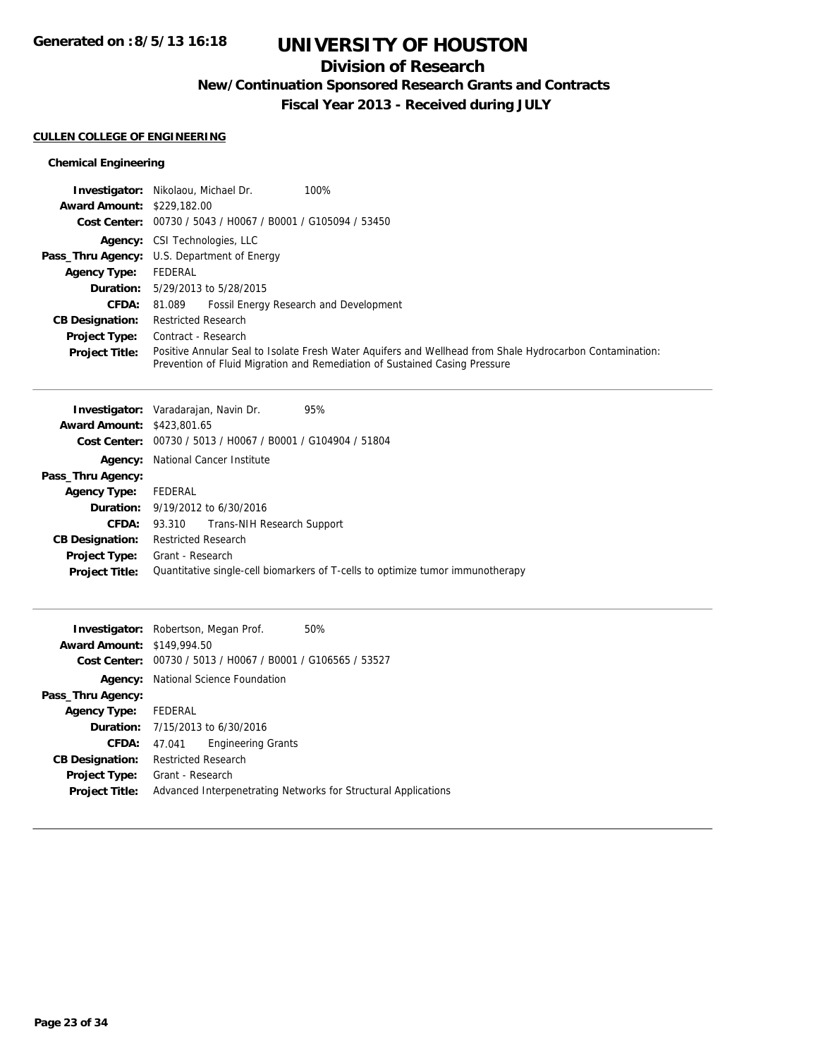## **Division of Research**

**New/Continuation Sponsored Research Grants and Contracts**

**Fiscal Year 2013 - Received during JULY**

#### **CULLEN COLLEGE OF ENGINEERING**

### **Chemical Engineering**

|                                   | 100%<br><b>Investigator:</b> Nikolaou, Michael Dr.                                                                                                                                     |
|-----------------------------------|----------------------------------------------------------------------------------------------------------------------------------------------------------------------------------------|
| <b>Award Amount: \$229,182.00</b> |                                                                                                                                                                                        |
|                                   | Cost Center: 00730 / 5043 / H0067 / B0001 / G105094 / 53450                                                                                                                            |
|                                   | <b>Agency:</b> CSI Technologies, LLC                                                                                                                                                   |
|                                   | <b>Pass_Thru Agency:</b> U.S. Department of Energy                                                                                                                                     |
| <b>Agency Type:</b>               | FEDERAL                                                                                                                                                                                |
|                                   | <b>Duration:</b> 5/29/2013 to 5/28/2015                                                                                                                                                |
| CFDA:                             | <b>Fossil Energy Research and Development</b><br>81.089                                                                                                                                |
| <b>CB Designation:</b>            | <b>Restricted Research</b>                                                                                                                                                             |
| <b>Project Type:</b>              | Contract - Research                                                                                                                                                                    |
| <b>Project Title:</b>             | Positive Annular Seal to Isolate Fresh Water Aquifers and Wellhead from Shale Hydrocarbon Contamination:<br>Prevention of Fluid Migration and Remediation of Sustained Casing Pressure |

|                                   | <b>Investigator:</b> Varadarajan, Navin Dr.<br>95%                             |
|-----------------------------------|--------------------------------------------------------------------------------|
| <b>Award Amount: \$423,801.65</b> |                                                                                |
|                                   | Cost Center: 00730 / 5013 / H0067 / B0001 / G104904 / 51804                    |
| Agency:                           | National Cancer Institute                                                      |
| Pass_Thru Agency:                 |                                                                                |
| <b>Agency Type:</b>               | FEDERAL                                                                        |
|                                   | <b>Duration:</b> $9/19/2012$ to $6/30/2016$                                    |
| CFDA:                             | 93.310 Trans-NIH Research Support                                              |
| <b>CB Designation:</b>            | <b>Restricted Research</b>                                                     |
| <b>Project Type:</b>              | Grant - Research                                                               |
| <b>Project Title:</b>             | Quantitative single-cell biomarkers of T-cells to optimize tumor immunotherapy |
|                                   |                                                                                |

|                                   | <b>Investigator:</b> Robertson, Megan Prof.    | 50%                                                            |
|-----------------------------------|------------------------------------------------|----------------------------------------------------------------|
| <b>Award Amount: \$149,994.50</b> |                                                |                                                                |
| Cost Center:                      | 00730 / 5013 / H0067 / B0001 / G106565 / 53527 |                                                                |
| Agency:                           | National Science Foundation                    |                                                                |
| Pass_Thru Agency:                 |                                                |                                                                |
| <b>Agency Type:</b>               | FEDERAL                                        |                                                                |
|                                   | <b>Duration:</b> 7/15/2013 to 6/30/2016        |                                                                |
| CFDA:                             | <b>Engineering Grants</b><br>47.041            |                                                                |
| <b>CB Designation:</b>            | <b>Restricted Research</b>                     |                                                                |
| <b>Project Type:</b>              | Grant - Research                               |                                                                |
| <b>Project Title:</b>             |                                                | Advanced Interpenetrating Networks for Structural Applications |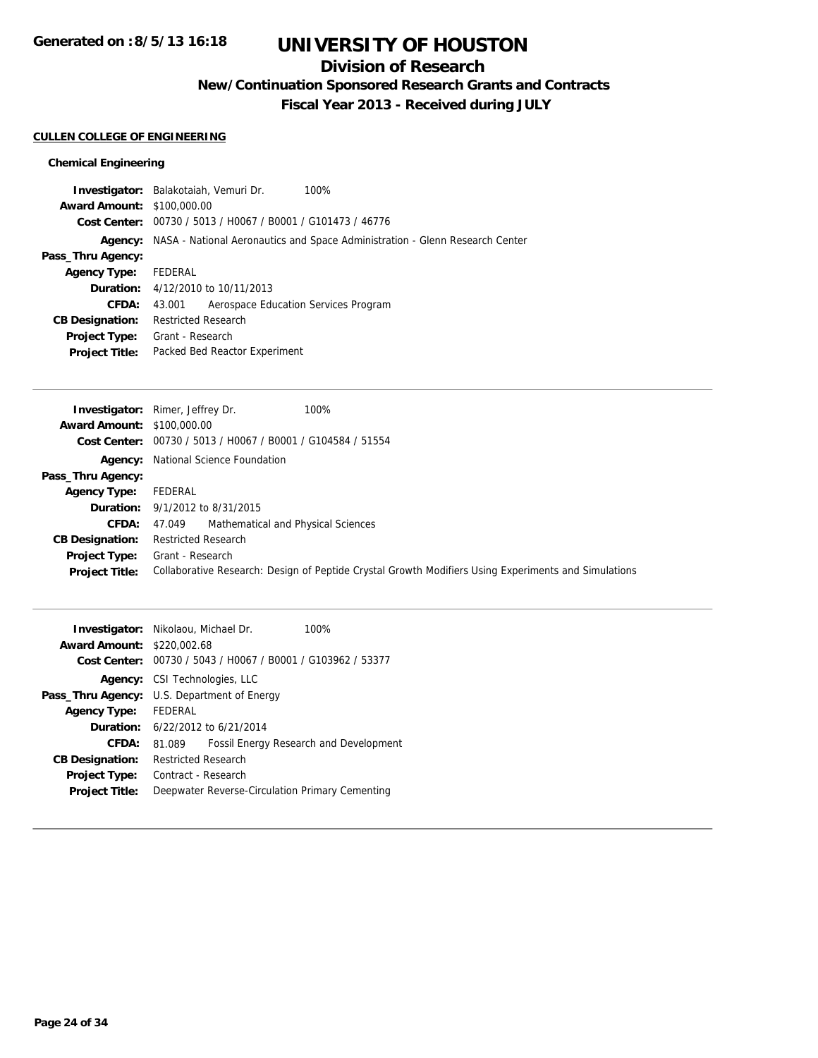## **Division of Research**

**New/Continuation Sponsored Research Grants and Contracts**

**Fiscal Year 2013 - Received during JULY**

### **CULLEN COLLEGE OF ENGINEERING**

### **Chemical Engineering**

| <b>Investigator:</b> Balakotaiah, Vemuri Dr. |                            |                                                             | 100%                                                                                 |
|----------------------------------------------|----------------------------|-------------------------------------------------------------|--------------------------------------------------------------------------------------|
| <b>Award Amount: \$100,000.00</b>            |                            |                                                             |                                                                                      |
|                                              |                            | Cost Center: 00730 / 5013 / H0067 / B0001 / G101473 / 46776 |                                                                                      |
|                                              |                            |                                                             | Agency: NASA - National Aeronautics and Space Administration - Glenn Research Center |
| Pass_Thru Agency:                            |                            |                                                             |                                                                                      |
| Agency Type:                                 | FEDERAL                    |                                                             |                                                                                      |
|                                              |                            | <b>Duration:</b> 4/12/2010 to 10/11/2013                    |                                                                                      |
| CFDA:                                        | 43.001                     | Aerospace Education Services Program                        |                                                                                      |
| <b>CB Designation:</b>                       | <b>Restricted Research</b> |                                                             |                                                                                      |
| <b>Project Type:</b>                         | Grant - Research           |                                                             |                                                                                      |
| <b>Project Title:</b>                        |                            | Packed Bed Reactor Experiment                               |                                                                                      |
|                                              |                            |                                                             |                                                                                      |

|                                   | 100%<br><b>Investigator:</b> Rimer, Jeffrey Dr.                                                      |
|-----------------------------------|------------------------------------------------------------------------------------------------------|
| <b>Award Amount: \$100,000.00</b> |                                                                                                      |
|                                   | Cost Center: 00730 / 5013 / H0067 / B0001 / G104584 / 51554                                          |
|                                   | <b>Agency:</b> National Science Foundation                                                           |
| Pass_Thru Agency:                 |                                                                                                      |
| <b>Agency Type:</b>               | FEDERAL                                                                                              |
|                                   | <b>Duration:</b> 9/1/2012 to 8/31/2015                                                               |
| <b>CFDA:</b>                      | Mathematical and Physical Sciences<br>47.049                                                         |
| <b>CB Designation:</b>            | <b>Restricted Research</b>                                                                           |
| <b>Project Type:</b>              | Grant - Research                                                                                     |
| <b>Project Title:</b>             | Collaborative Research: Design of Peptide Crystal Growth Modifiers Using Experiments and Simulations |

| <b>Investigator:</b> Nikolaou, Michael Dr.<br>100%      |  |
|---------------------------------------------------------|--|
| <b>Award Amount: \$220,002.68</b>                       |  |
| 00730 / 5043 / H0067 / B0001 / G103962 / 53377          |  |
| <b>Agency:</b> CSI Technologies, LLC                    |  |
| U.S. Department of Energy                               |  |
| FEDERAL                                                 |  |
| <b>Duration:</b> 6/22/2012 to 6/21/2014                 |  |
| <b>Fossil Energy Research and Development</b><br>81.089 |  |
| <b>Restricted Research</b>                              |  |
| Contract - Research                                     |  |
| Deepwater Reverse-Circulation Primary Cementing         |  |
| Cost Center:                                            |  |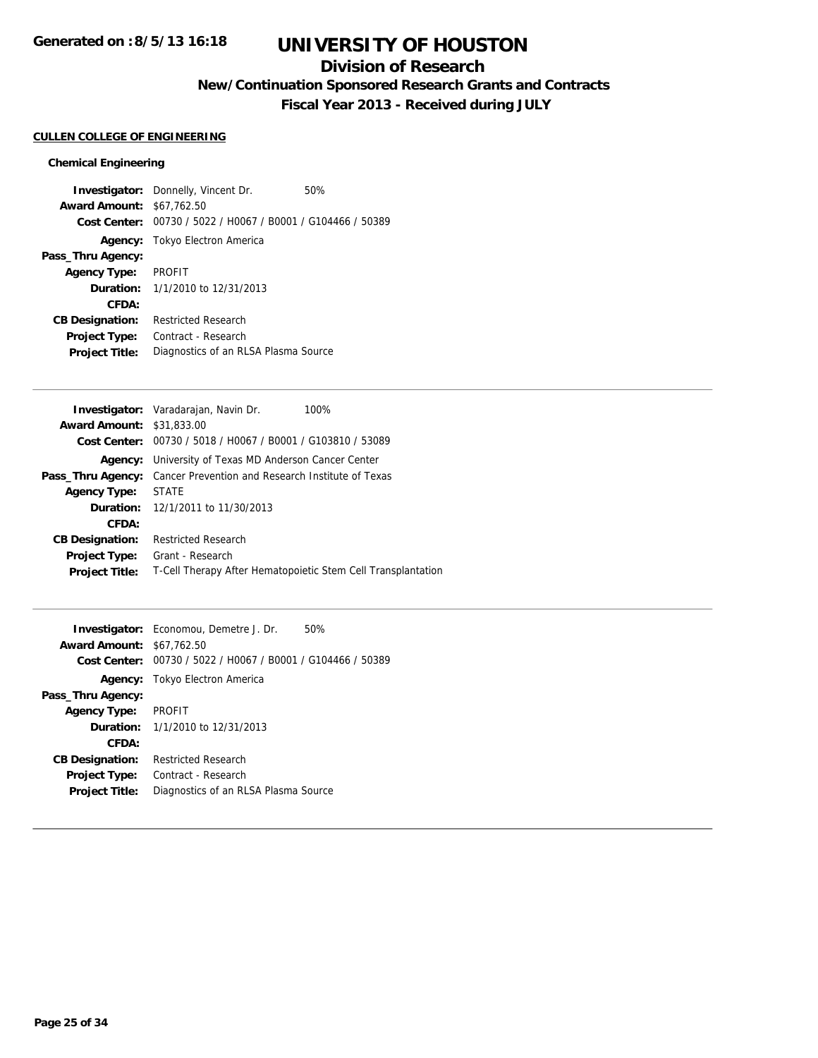## **Division of Research**

**New/Continuation Sponsored Research Grants and Contracts**

**Fiscal Year 2013 - Received during JULY**

#### **CULLEN COLLEGE OF ENGINEERING**

#### **Chemical Engineering**

**Investigator:** Donnelly, Vincent Dr. 50% **Award Amount:** \$67,762.50 **Cost Center:** 00730 / 5022 / H0067 / B0001 / G104466 / 50389 **Agency:** Tokyo Electron America **Pass\_Thru Agency: Agency Type:** PROFIT **Duration:** 1/1/2010 to 12/31/2013 **CFDA: CB Designation:** Restricted Research **Project Type:** Contract - Research **Project Title:** Diagnostics of an RLSA Plasma Source

|                                  | <b>Investigator:</b> Varadarajan, Navin Dr.<br>100%          |
|----------------------------------|--------------------------------------------------------------|
| <b>Award Amount: \$31,833,00</b> |                                                              |
|                                  | Cost Center: 00730 / 5018 / H0067 / B0001 / G103810 / 53089  |
| Agency:                          | University of Texas MD Anderson Cancer Center                |
| Pass_Thru Agency:                | Cancer Prevention and Research Institute of Texas            |
| <b>Agency Type:</b>              | <b>STATE</b>                                                 |
|                                  | <b>Duration:</b> 12/1/2011 to 11/30/2013                     |
| CFDA:                            |                                                              |
| <b>CB Designation:</b>           | <b>Restricted Research</b>                                   |
| <b>Project Type:</b>             | Grant - Research                                             |
| <b>Project Title:</b>            | T-Cell Therapy After Hematopoietic Stem Cell Transplantation |
|                                  |                                                              |

|                                  | <b>Investigator:</b> Economou, Demetre J. Dr.               | 50% |
|----------------------------------|-------------------------------------------------------------|-----|
| <b>Award Amount: \$67,762.50</b> |                                                             |     |
|                                  | Cost Center: 00730 / 5022 / H0067 / B0001 / G104466 / 50389 |     |
|                                  | <b>Agency:</b> Tokyo Electron America                       |     |
| Pass_Thru Agency:                |                                                             |     |
| <b>Agency Type:</b>              | <b>PROFIT</b>                                               |     |
|                                  | <b>Duration:</b> $1/1/2010$ to $12/31/2013$                 |     |
| CFDA:                            |                                                             |     |
| <b>CB Designation:</b>           | <b>Restricted Research</b>                                  |     |
| <b>Project Type:</b>             | Contract - Research                                         |     |
| <b>Project Title:</b>            | Diagnostics of an RLSA Plasma Source                        |     |
|                                  |                                                             |     |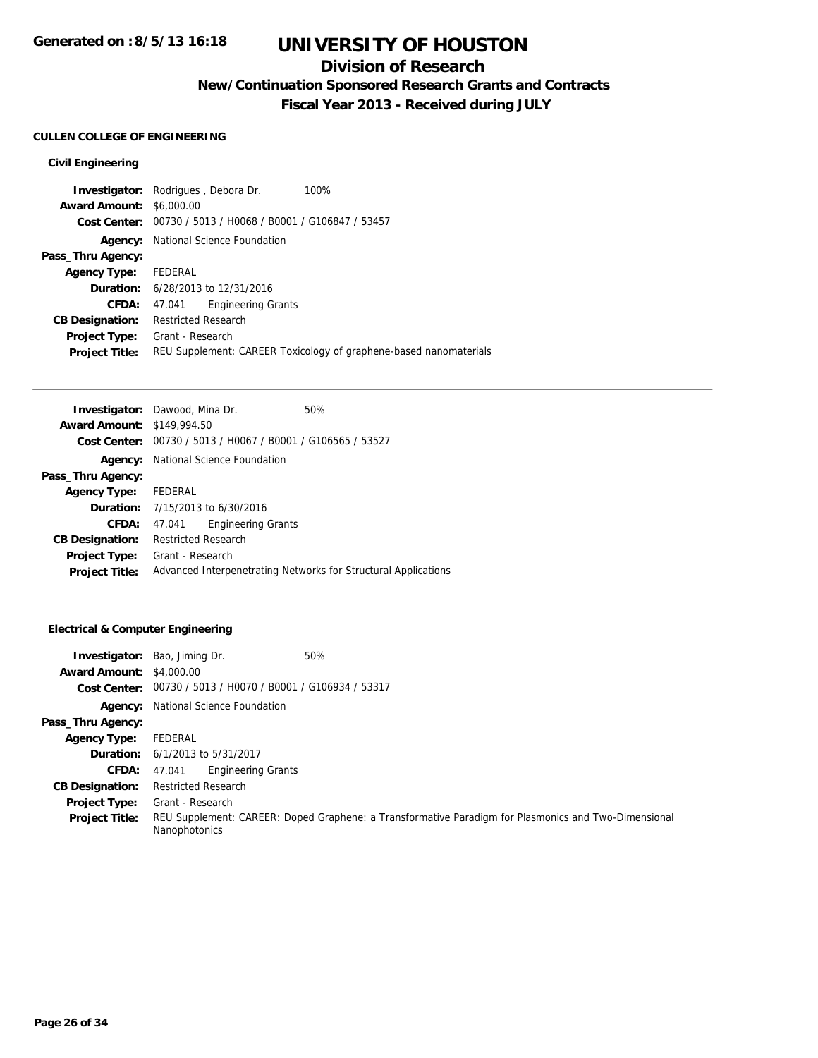## **Division of Research**

**New/Continuation Sponsored Research Grants and Contracts**

**Fiscal Year 2013 - Received during JULY**

#### **CULLEN COLLEGE OF ENGINEERING**

### **Civil Engineering**

| <b>Investigator:</b> Rodrigues, Debora Dr.<br>100%                |  |
|-------------------------------------------------------------------|--|
| <b>Award Amount: \$6,000.00</b>                                   |  |
| Cost Center: 00730 / 5013 / H0068 / B0001 / G106847 / 53457       |  |
| National Science Foundation                                       |  |
|                                                                   |  |
| FEDERAL                                                           |  |
| <b>Duration:</b> 6/28/2013 to 12/31/2016                          |  |
| <b>Engineering Grants</b><br>47.041                               |  |
| <b>Restricted Research</b>                                        |  |
| Grant - Research                                                  |  |
| REU Supplement: CAREER Toxicology of graphene-based nanomaterials |  |
|                                                                   |  |

| <b>Investigator:</b> Dawood, Mina Dr. |                            |                                                             | 50%                                                            |
|---------------------------------------|----------------------------|-------------------------------------------------------------|----------------------------------------------------------------|
| <b>Award Amount: \$149,994.50</b>     |                            |                                                             |                                                                |
|                                       |                            | Cost Center: 00730 / 5013 / H0067 / B0001 / G106565 / 53527 |                                                                |
|                                       |                            | <b>Agency:</b> National Science Foundation                  |                                                                |
| Pass_Thru Agency:                     |                            |                                                             |                                                                |
| <b>Agency Type:</b>                   | FEDERAL                    |                                                             |                                                                |
|                                       |                            | <b>Duration:</b> 7/15/2013 to 6/30/2016                     |                                                                |
| CFDA:                                 | 47.041                     | <b>Engineering Grants</b>                                   |                                                                |
| <b>CB Designation:</b>                | <b>Restricted Research</b> |                                                             |                                                                |
| <b>Project Type:</b>                  | Grant - Research           |                                                             |                                                                |
| <b>Project Title:</b>                 |                            |                                                             | Advanced Interpenetrating Networks for Structural Applications |

### **Electrical & Computer Engineering**

| <b>Award Amount: \$4,000.00</b> | <b>Investigator:</b> Bao, Jiming Dr.                        | 50%                                                                                                  |
|---------------------------------|-------------------------------------------------------------|------------------------------------------------------------------------------------------------------|
|                                 | Cost Center: 00730 / 5013 / H0070 / B0001 / G106934 / 53317 |                                                                                                      |
|                                 | <b>Agency:</b> National Science Foundation                  |                                                                                                      |
| Pass_Thru Agency:               |                                                             |                                                                                                      |
| <b>Agency Type:</b>             | FEDERAL                                                     |                                                                                                      |
|                                 | <b>Duration:</b> 6/1/2013 to 5/31/2017                      |                                                                                                      |
| <b>CFDA:</b>                    | <b>Engineering Grants</b><br>47.041                         |                                                                                                      |
| <b>CB Designation:</b>          | <b>Restricted Research</b>                                  |                                                                                                      |
| <b>Project Type:</b>            | Grant - Research                                            |                                                                                                      |
| <b>Project Title:</b>           | Nanophotonics                                               | REU Supplement: CAREER: Doped Graphene: a Transformative Paradigm for Plasmonics and Two-Dimensional |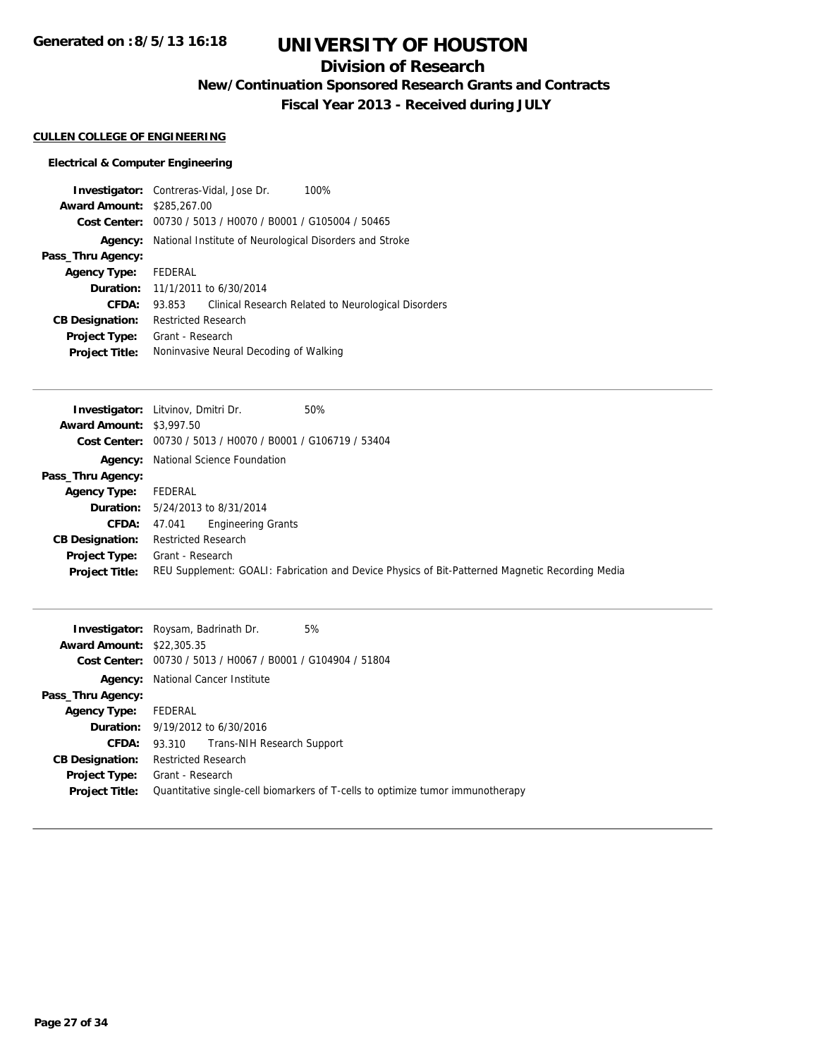## **Division of Research**

**New/Continuation Sponsored Research Grants and Contracts**

**Fiscal Year 2013 - Received during JULY**

### **CULLEN COLLEGE OF ENGINEERING**

### **Electrical & Computer Engineering**

|                        | <b>Investigator:</b> Contreras-Vidal, Jose Dr.<br>100%        |  |
|------------------------|---------------------------------------------------------------|--|
| <b>Award Amount:</b>   | \$285,267.00                                                  |  |
| Cost Center:           | 00730 / 5013 / H0070 / B0001 / G105004 / 50465                |  |
| Agency:                | National Institute of Neurological Disorders and Stroke       |  |
| Pass_Thru Agency:      |                                                               |  |
| <b>Agency Type:</b>    | FEDERAL                                                       |  |
| Duration:              | 11/1/2011 to 6/30/2014                                        |  |
| CFDA:                  | Clinical Research Related to Neurological Disorders<br>93.853 |  |
| <b>CB Designation:</b> | <b>Restricted Research</b>                                    |  |
| <b>Project Type:</b>   | Grant - Research                                              |  |
| <b>Project Title:</b>  | Noninvasive Neural Decoding of Walking                        |  |

|                                 | <b>Investigator:</b> Litvinov, Dmitri Dr.<br>50%                                                |
|---------------------------------|-------------------------------------------------------------------------------------------------|
| <b>Award Amount: \$3,997.50</b> |                                                                                                 |
|                                 | Cost Center: 00730 / 5013 / H0070 / B0001 / G106719 / 53404                                     |
|                                 | <b>Agency:</b> National Science Foundation                                                      |
| Pass_Thru Agency:               |                                                                                                 |
| <b>Agency Type:</b>             | FEDERAL                                                                                         |
|                                 | <b>Duration:</b> 5/24/2013 to 8/31/2014                                                         |
| <b>CFDA:</b>                    | Engineering Grants<br>47.041                                                                    |
| <b>CB Designation:</b>          | <b>Restricted Research</b>                                                                      |
| <b>Project Type:</b>            | Grant - Research                                                                                |
| <b>Project Title:</b>           | REU Supplement: GOALI: Fabrication and Device Physics of Bit-Patterned Magnetic Recording Media |
|                                 |                                                                                                 |

|                                  | 5%<br><b>Investigator:</b> Roysam, Badrinath Dr.                               |  |  |
|----------------------------------|--------------------------------------------------------------------------------|--|--|
| <b>Award Amount: \$22,305.35</b> |                                                                                |  |  |
|                                  | Cost Center: 00730 / 5013 / H0067 / B0001 / G104904 / 51804                    |  |  |
| Agency:                          | National Cancer Institute                                                      |  |  |
| Pass_Thru Agency:                |                                                                                |  |  |
| <b>Agency Type:</b>              | FEDERAL                                                                        |  |  |
|                                  | <b>Duration:</b> 9/19/2012 to 6/30/2016                                        |  |  |
| CFDA:                            | Trans-NIH Research Support<br>93.310                                           |  |  |
| <b>CB Designation:</b>           | <b>Restricted Research</b>                                                     |  |  |
| <b>Project Type:</b>             | Grant - Research                                                               |  |  |
| <b>Project Title:</b>            | Quantitative single-cell biomarkers of T-cells to optimize tumor immunotherapy |  |  |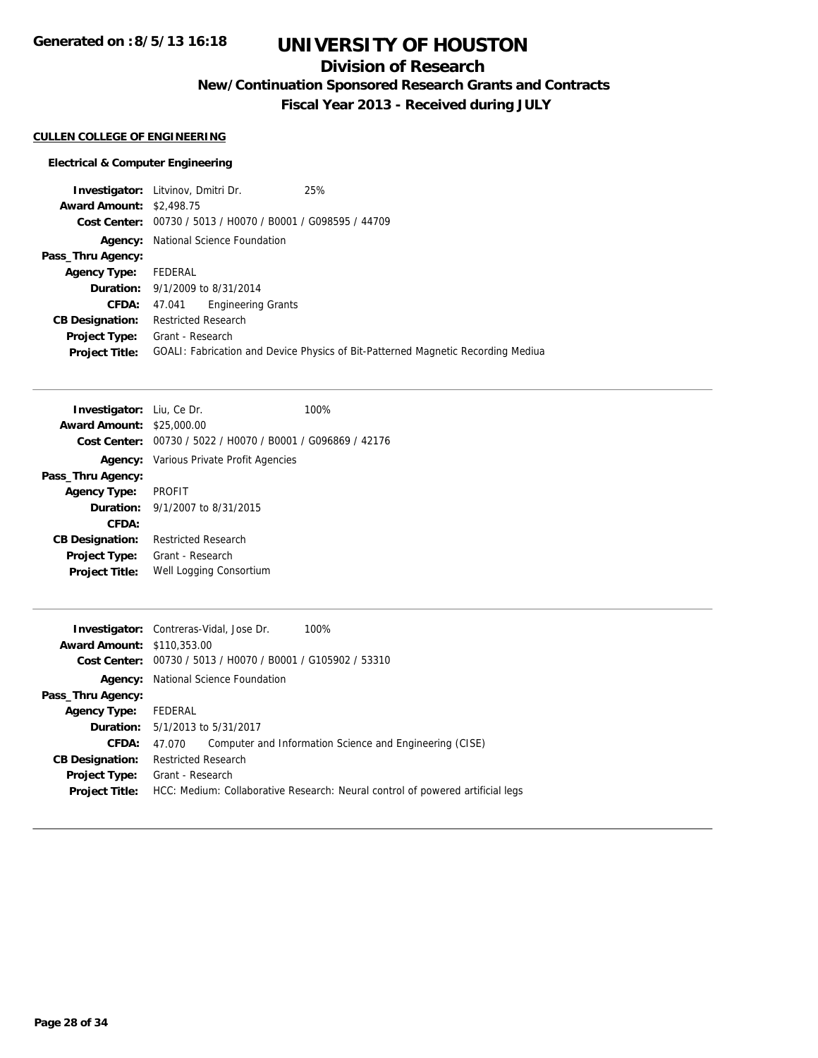**Generated on :8/5/13 16:18**

# **UNIVERSITY OF HOUSTON**

## **Division of Research**

**New/Continuation Sponsored Research Grants and Contracts**

**Fiscal Year 2013 - Received during JULY**

### **CULLEN COLLEGE OF ENGINEERING**

#### **Electrical & Computer Engineering**

**Investigator:** Litvinov, Dmitri Dr. 25% **Award Amount:** \$2,498.75 **Cost Center:** 00730 / 5013 / H0070 / B0001 / G098595 / 44709 **Agency:** National Science Foundation **Pass\_Thru Agency: Agency Type:** FEDERAL **Duration:** 9/1/2009 to 8/31/2014 **CFDA:** 47.041 Engineering Grants **CB Designation:** Restricted Research **Project Type:** Grant - Research **Project Title:** GOALI: Fabrication and Device Physics of Bit-Patterned Magnetic Recording Mediua

| Investigator: Liu, Ce Dr.        |                                                             | 100% |
|----------------------------------|-------------------------------------------------------------|------|
| <b>Award Amount: \$25,000.00</b> |                                                             |      |
|                                  | Cost Center: 00730 / 5022 / H0070 / B0001 / G096869 / 42176 |      |
|                                  | <b>Agency:</b> Various Private Profit Agencies              |      |
| Pass_Thru Agency:                |                                                             |      |
| <b>Agency Type:</b>              | <b>PROFIT</b>                                               |      |
|                                  | <b>Duration:</b> $9/1/2007$ to $8/31/2015$                  |      |
| CFDA:                            |                                                             |      |
| <b>CB Designation:</b>           | <b>Restricted Research</b>                                  |      |
| Project Type:                    | Grant - Research                                            |      |
| <b>Project Title:</b>            | Well Logging Consortium                                     |      |
|                                  |                                                             |      |

|                                   | 100%<br><b>Investigator:</b> Contreras-Vidal, Jose Dr.                         |  |  |
|-----------------------------------|--------------------------------------------------------------------------------|--|--|
| <b>Award Amount: \$110,353,00</b> |                                                                                |  |  |
|                                   | Cost Center: 00730 / 5013 / H0070 / B0001 / G105902 / 53310                    |  |  |
|                                   | <b>Agency:</b> National Science Foundation                                     |  |  |
| Pass_Thru Agency:                 |                                                                                |  |  |
| <b>Agency Type:</b>               | FEDERAL                                                                        |  |  |
|                                   | <b>Duration:</b> 5/1/2013 to 5/31/2017                                         |  |  |
| CFDA:                             | Computer and Information Science and Engineering (CISE)<br>47.070              |  |  |
| <b>CB Designation:</b>            | <b>Restricted Research</b>                                                     |  |  |
| Project Type:                     | Grant - Research                                                               |  |  |
| <b>Project Title:</b>             | HCC: Medium: Collaborative Research: Neural control of powered artificial legs |  |  |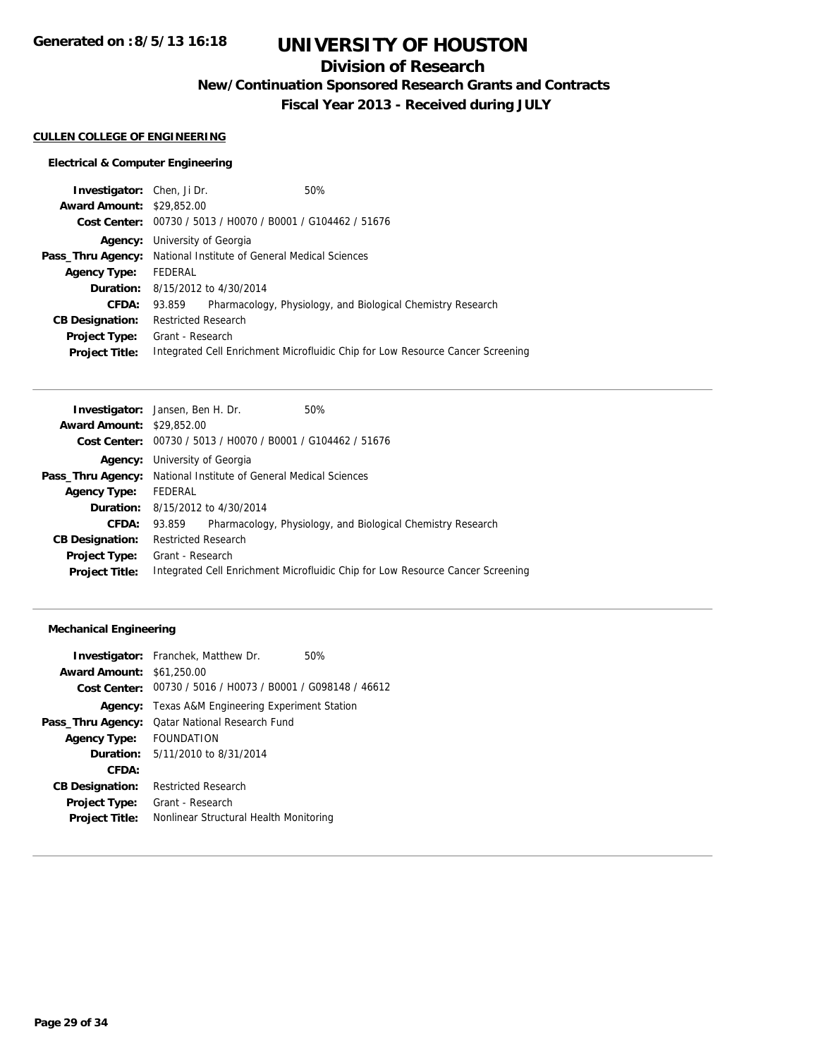## **Division of Research**

**New/Continuation Sponsored Research Grants and Contracts**

**Fiscal Year 2013 - Received during JULY**

#### **CULLEN COLLEGE OF ENGINEERING**

### **Electrical & Computer Engineering**

| <b>Investigator:</b> Chen, Ji Dr. |                                                                         |                                                             | 50%                                                                            |  |
|-----------------------------------|-------------------------------------------------------------------------|-------------------------------------------------------------|--------------------------------------------------------------------------------|--|
| <b>Award Amount: \$29,852.00</b>  |                                                                         |                                                             |                                                                                |  |
|                                   |                                                                         | Cost Center: 00730 / 5013 / H0070 / B0001 / G104462 / 51676 |                                                                                |  |
| Agency:                           |                                                                         | University of Georgia                                       |                                                                                |  |
|                                   | <b>Pass_Thru Agency:</b> National Institute of General Medical Sciences |                                                             |                                                                                |  |
| <b>Agency Type:</b>               | FEDERAL                                                                 |                                                             |                                                                                |  |
|                                   | <b>Duration:</b> 8/15/2012 to 4/30/2014                                 |                                                             |                                                                                |  |
| CFDA:                             | 93.859                                                                  |                                                             | Pharmacology, Physiology, and Biological Chemistry Research                    |  |
| <b>CB Designation:</b>            | <b>Restricted Research</b>                                              |                                                             |                                                                                |  |
| Project Type:                     | Grant - Research                                                        |                                                             |                                                                                |  |
| <b>Project Title:</b>             |                                                                         |                                                             | Integrated Cell Enrichment Microfluidic Chip for Low Resource Cancer Screening |  |
|                                   |                                                                         |                                                             |                                                                                |  |

| <b>Investigator:</b> Jansen, Ben H. Dr. |                                                                                |                                                               | 50%                                                         |  |
|-----------------------------------------|--------------------------------------------------------------------------------|---------------------------------------------------------------|-------------------------------------------------------------|--|
| <b>Award Amount: \$29,852.00</b>        |                                                                                |                                                               |                                                             |  |
|                                         |                                                                                | Cost Center: $00730 / 5013 / 40070 / 80001 / 6104462 / 51676$ |                                                             |  |
|                                         |                                                                                | <b>Agency:</b> University of Georgia                          |                                                             |  |
|                                         | <b>Pass_Thru Agency:</b> National Institute of General Medical Sciences        |                                                               |                                                             |  |
| <b>Agency Type:</b>                     | FEDERAL                                                                        |                                                               |                                                             |  |
|                                         | <b>Duration:</b> 8/15/2012 to 4/30/2014                                        |                                                               |                                                             |  |
| CFDA:                                   | 93.859                                                                         |                                                               | Pharmacology, Physiology, and Biological Chemistry Research |  |
| <b>CB Designation:</b>                  | <b>Restricted Research</b>                                                     |                                                               |                                                             |  |
| <b>Project Type:</b>                    | Grant - Research                                                               |                                                               |                                                             |  |
| <b>Project Title:</b>                   | Integrated Cell Enrichment Microfluidic Chip for Low Resource Cancer Screening |                                                               |                                                             |  |
|                                         |                                                                                |                                                               |                                                             |  |

### **Mechanical Engineering**

|                                  | <b>Investigator:</b> Franchek, Matthew Dr.                  | 50% |
|----------------------------------|-------------------------------------------------------------|-----|
| <b>Award Amount: \$61,250.00</b> |                                                             |     |
|                                  | Cost Center: 00730 / 5016 / H0073 / B0001 / G098148 / 46612 |     |
|                                  | <b>Agency:</b> Texas A&M Engineering Experiment Station     |     |
| Pass_Thru Agency:                | <b>Qatar National Research Fund</b>                         |     |
| <b>Agency Type:</b>              | <b>FOUNDATION</b>                                           |     |
|                                  | <b>Duration:</b> $5/11/2010$ to $8/31/2014$                 |     |
| CFDA:                            |                                                             |     |
| <b>CB Designation:</b>           | <b>Restricted Research</b>                                  |     |
| <b>Project Type:</b>             | Grant - Research                                            |     |
| <b>Project Title:</b>            | Nonlinear Structural Health Monitoring                      |     |
|                                  |                                                             |     |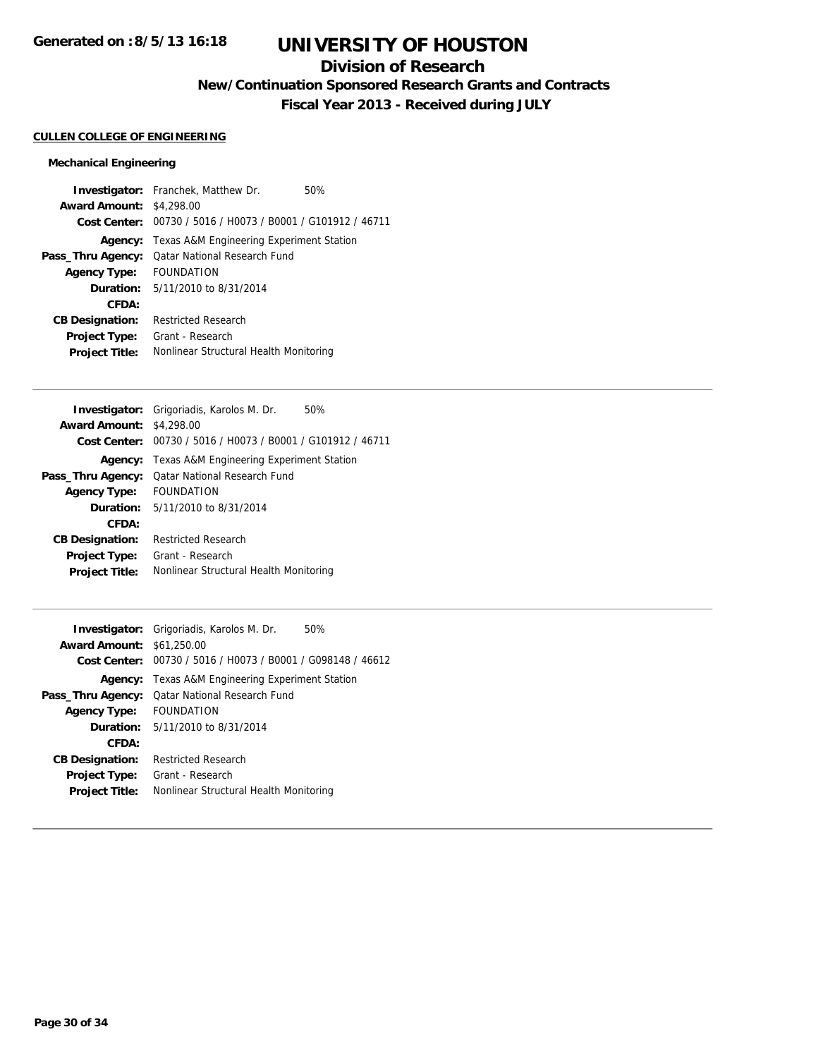## **Division of Research**

**New/Continuation Sponsored Research Grants and Contracts**

**Fiscal Year 2013 - Received during JULY**

#### **CULLEN COLLEGE OF ENGINEERING**

### **Mechanical Engineering**

|                                 | <b>Investigator:</b> Franchek, Matthew Dr.                  | 50% |
|---------------------------------|-------------------------------------------------------------|-----|
| <b>Award Amount: \$4,298.00</b> |                                                             |     |
|                                 | Cost Center: 00730 / 5016 / H0073 / B0001 / G101912 / 46711 |     |
|                                 | <b>Agency:</b> Texas A&M Engineering Experiment Station     |     |
| Pass_Thru Agency:               | <b>Qatar National Research Fund</b>                         |     |
| <b>Agency Type:</b>             | <b>FOUNDATION</b>                                           |     |
|                                 | <b>Duration:</b> $5/11/2010$ to $8/31/2014$                 |     |
| CFDA:                           |                                                             |     |
| <b>CB Designation:</b>          | <b>Restricted Research</b>                                  |     |
| Project Type:                   | Grant - Research                                            |     |
| <b>Project Title:</b>           | Nonlinear Structural Health Monitoring                      |     |

|                        | Investigator: Grigoriadis, Karolos M. Dr.                   | 50% |
|------------------------|-------------------------------------------------------------|-----|
| <b>Award Amount:</b>   | \$4,298.00                                                  |     |
|                        | Cost Center: 00730 / 5016 / H0073 / B0001 / G101912 / 46711 |     |
| Agency:                | Texas A&M Engineering Experiment Station                    |     |
| Pass_Thru Agency:      | <b>Qatar National Research Fund</b>                         |     |
| <b>Agency Type:</b>    | <b>FOUNDATION</b>                                           |     |
|                        | <b>Duration:</b> $5/11/2010$ to $8/31/2014$                 |     |
| CFDA:                  |                                                             |     |
| <b>CB Designation:</b> | <b>Restricted Research</b>                                  |     |
| <b>Project Type:</b>   | Grant - Research                                            |     |
| <b>Project Title:</b>  | Nonlinear Structural Health Monitoring                      |     |
|                        |                                                             |     |

|                                  | <b>Investigator:</b> Grigoriadis, Karolos M. Dr.<br>50%     |
|----------------------------------|-------------------------------------------------------------|
| <b>Award Amount: \$61,250.00</b> |                                                             |
|                                  | Cost Center: 00730 / 5016 / H0073 / B0001 / G098148 / 46612 |
|                                  | <b>Agency:</b> Texas A&M Engineering Experiment Station     |
| Pass_Thru Agency:                | <b>Qatar National Research Fund</b>                         |
| <b>Agency Type:</b>              | <b>FOUNDATION</b>                                           |
|                                  | <b>Duration:</b> 5/11/2010 to 8/31/2014                     |
| CFDA:                            |                                                             |
| <b>CB Designation:</b>           | <b>Restricted Research</b>                                  |
| <b>Project Type:</b>             | Grant - Research                                            |
| <b>Project Title:</b>            | Nonlinear Structural Health Monitoring                      |
|                                  |                                                             |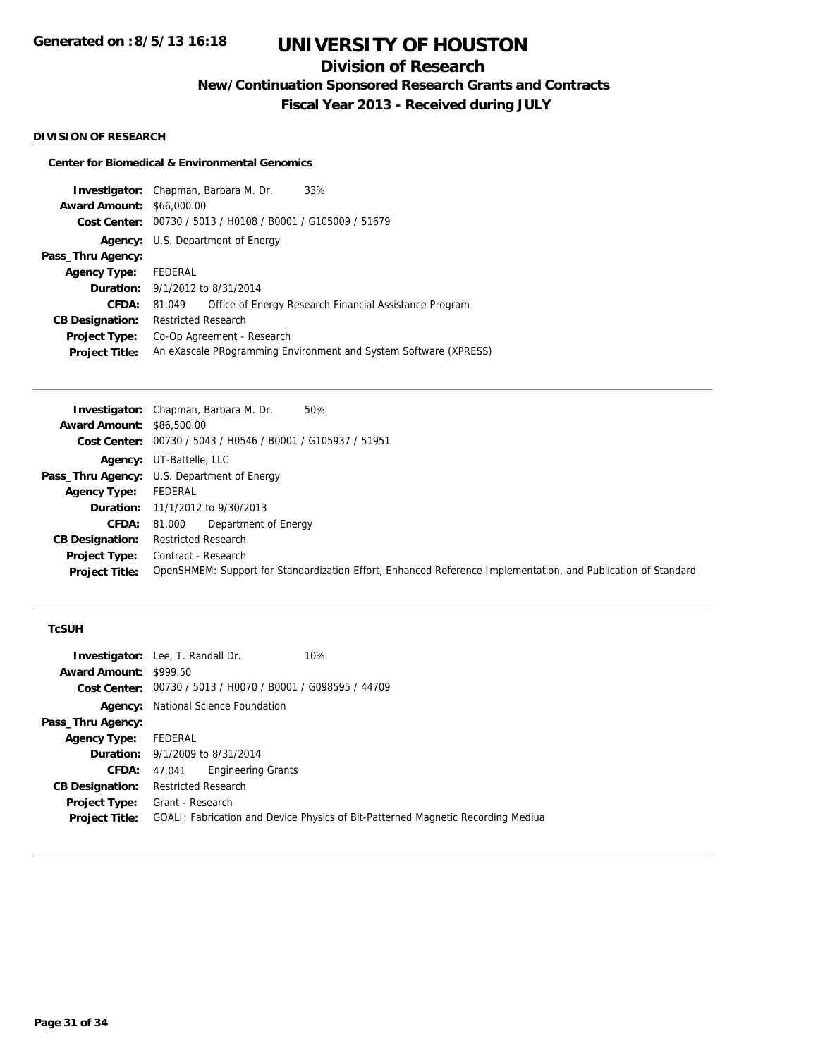## **Division of Research**

**New/Continuation Sponsored Research Grants and Contracts**

**Fiscal Year 2013 - Received during JULY**

#### **DIVISION OF RESEARCH**

#### **Center for Biomedical & Environmental Genomics**

|                                  | <b>Investigator:</b> Chapman, Barbara M. Dr.<br>33%              |  |
|----------------------------------|------------------------------------------------------------------|--|
| <b>Award Amount: \$66,000.00</b> |                                                                  |  |
|                                  | Cost Center: 00730 / 5013 / H0108 / B0001 / G105009 / 51679      |  |
|                                  | <b>Agency:</b> U.S. Department of Energy                         |  |
| Pass_Thru Agency:                |                                                                  |  |
| <b>Agency Type:</b>              | FEDERAL                                                          |  |
|                                  | <b>Duration:</b> 9/1/2012 to 8/31/2014                           |  |
| CFDA:                            | Office of Energy Research Financial Assistance Program<br>81.049 |  |
| <b>CB Designation:</b>           | <b>Restricted Research</b>                                       |  |
| Project Type:                    | Co-Op Agreement - Research                                       |  |
| <b>Project Title:</b>            | An eXascale PRogramming Environment and System Software (XPRESS) |  |
|                                  |                                                                  |  |

|                                  | 50%<br><b>Investigator:</b> Chapman, Barbara M. Dr.                                                           |
|----------------------------------|---------------------------------------------------------------------------------------------------------------|
| <b>Award Amount: \$86,500.00</b> |                                                                                                               |
|                                  | Cost Center: 00730 / 5043 / H0546 / B0001 / G105937 / 51951                                                   |
|                                  | <b>Agency: UT-Battelle, LLC</b>                                                                               |
|                                  | <b>Pass_Thru Agency:</b> U.S. Department of Energy                                                            |
| <b>Agency Type:</b>              | FEDERAL                                                                                                       |
|                                  | <b>Duration:</b> 11/1/2012 to 9/30/2013                                                                       |
| CFDA:                            | Department of Energy<br>81.000                                                                                |
| <b>CB Designation:</b>           | <b>Restricted Research</b>                                                                                    |
| <b>Project Type:</b>             | Contract - Research                                                                                           |
| <b>Project Title:</b>            | OpenSHMEM: Support for Standardization Effort, Enhanced Reference Implementation, and Publication of Standard |

#### **TcSUH**

|                               | <b>Investigator:</b> Lee, T. Randall Dr.                                         | 10% |  |
|-------------------------------|----------------------------------------------------------------------------------|-----|--|
| <b>Award Amount: \$999.50</b> |                                                                                  |     |  |
|                               | Cost Center: 00730 / 5013 / H0070 / B0001 / G098595 / 44709                      |     |  |
| Agency:                       | National Science Foundation                                                      |     |  |
| Pass_Thru Agency:             |                                                                                  |     |  |
| <b>Agency Type:</b>           | FEDERAL                                                                          |     |  |
|                               | <b>Duration:</b> 9/1/2009 to 8/31/2014                                           |     |  |
| CFDA:                         | <b>Engineering Grants</b><br>47.041                                              |     |  |
| <b>CB Designation:</b>        | <b>Restricted Research</b>                                                       |     |  |
| Project Type:                 | Grant - Research                                                                 |     |  |
| <b>Project Title:</b>         | GOALI: Fabrication and Device Physics of Bit-Patterned Magnetic Recording Mediua |     |  |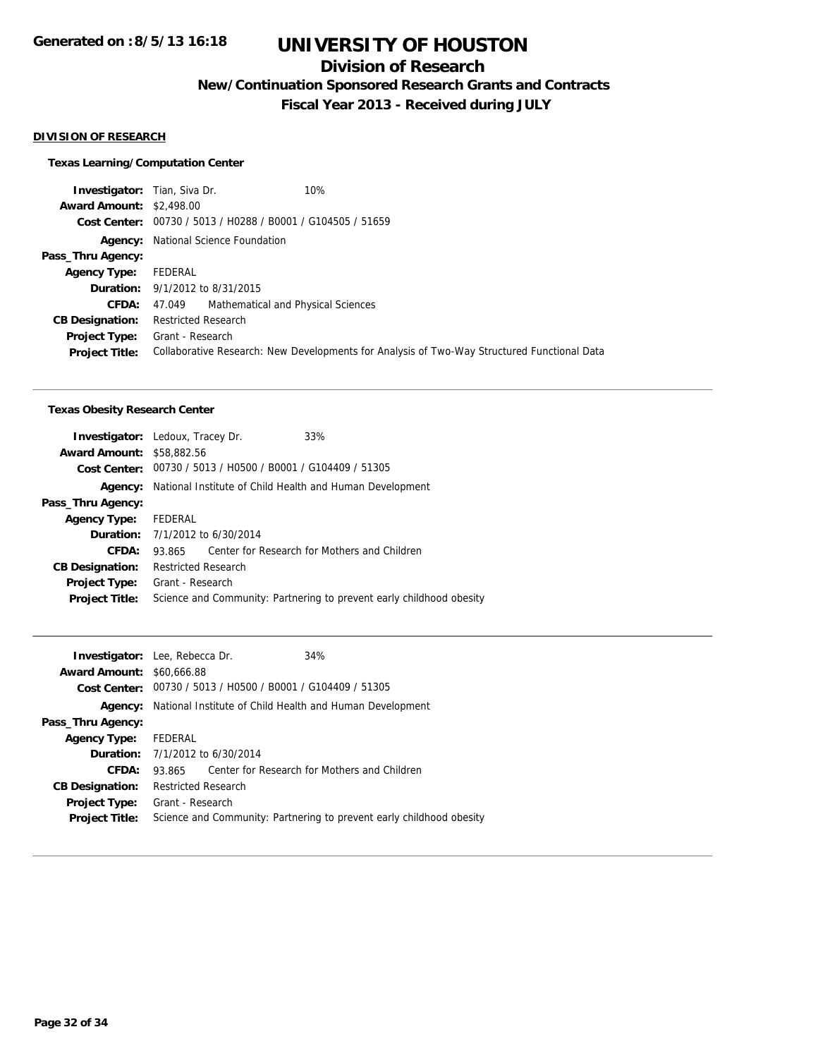## **Division of Research**

**New/Continuation Sponsored Research Grants and Contracts**

**Fiscal Year 2013 - Received during JULY**

#### **DIVISION OF RESEARCH**

### **Texas Learning/Computation Center**

| 10%<br><b>Investigator:</b> Tian, Siva Dr.                                                  |
|---------------------------------------------------------------------------------------------|
| <b>Award Amount: \$2,498.00</b>                                                             |
| Cost Center: 00730 / 5013 / H0288 / B0001 / G104505 / 51659                                 |
| National Science Foundation                                                                 |
|                                                                                             |
| FEDERAL                                                                                     |
| <b>Duration:</b> 9/1/2012 to 8/31/2015                                                      |
| Mathematical and Physical Sciences<br>47.049                                                |
| Restricted Research                                                                         |
| Grant - Research                                                                            |
| Collaborative Research: New Developments for Analysis of Two-Way Structured Functional Data |
|                                                                                             |

#### **Texas Obesity Research Center**

|                                  | <b>Investigator:</b> Ledoux, Tracey Dr.                     | 33%                                                                  |
|----------------------------------|-------------------------------------------------------------|----------------------------------------------------------------------|
| <b>Award Amount: \$58,882.56</b> |                                                             |                                                                      |
|                                  | Cost Center: 00730 / 5013 / H0500 / B0001 / G104409 / 51305 |                                                                      |
| Agency:                          | National Institute of Child Health and Human Development    |                                                                      |
| Pass_Thru Agency:                |                                                             |                                                                      |
| <b>Agency Type:</b>              | FEDERAL                                                     |                                                                      |
|                                  | <b>Duration:</b> 7/1/2012 to 6/30/2014                      |                                                                      |
| CFDA:                            | 93.865                                                      | Center for Research for Mothers and Children                         |
| <b>CB Designation:</b>           | <b>Restricted Research</b>                                  |                                                                      |
| <b>Project Type:</b>             | Grant - Research                                            |                                                                      |
| <b>Project Title:</b>            |                                                             | Science and Community: Partnering to prevent early childhood obesity |
|                                  |                                                             |                                                                      |

|         | 34%                                                                                                                                                                                                                                                                                                       |
|---------|-----------------------------------------------------------------------------------------------------------------------------------------------------------------------------------------------------------------------------------------------------------------------------------------------------------|
|         |                                                                                                                                                                                                                                                                                                           |
|         |                                                                                                                                                                                                                                                                                                           |
|         |                                                                                                                                                                                                                                                                                                           |
|         |                                                                                                                                                                                                                                                                                                           |
| FEDERAL |                                                                                                                                                                                                                                                                                                           |
|         |                                                                                                                                                                                                                                                                                                           |
| 93.865  | Center for Research for Mothers and Children                                                                                                                                                                                                                                                              |
|         |                                                                                                                                                                                                                                                                                                           |
|         |                                                                                                                                                                                                                                                                                                           |
|         | Science and Community: Partnering to prevent early childhood obesity                                                                                                                                                                                                                                      |
|         | <b>Investigator:</b> Lee, Rebecca Dr.<br><b>Award Amount: \$60,666.88</b><br><b>Cost Center:</b> $00730 / 5013 / 40500 / 80001 / 6104409 / 51305$<br>National Institute of Child Health and Human Development<br><b>Duration:</b> 7/1/2012 to 6/30/2014<br><b>Restricted Research</b><br>Grant - Research |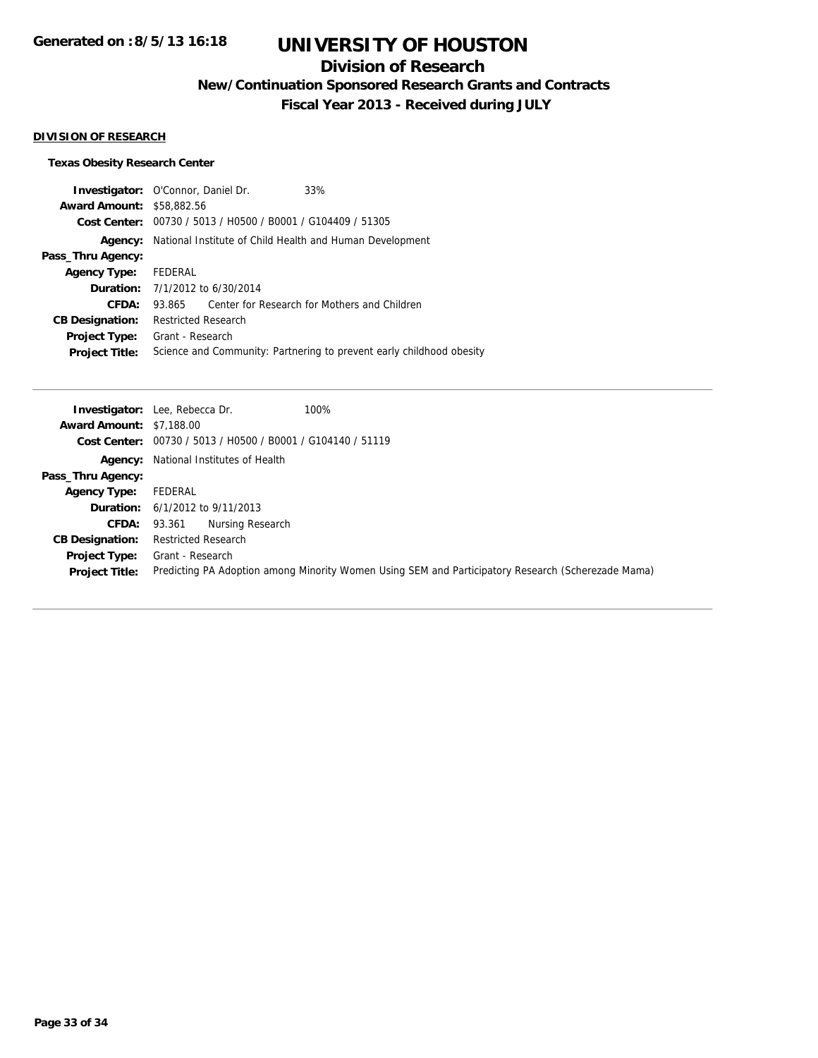## **Division of Research**

**New/Continuation Sponsored Research Grants and Contracts**

**Fiscal Year 2013 - Received during JULY**

#### **DIVISION OF RESEARCH**

### **Texas Obesity Research Center**

| <b>Investigator:</b> O'Connor, Daniel Dr.                   | 33%                                                                  |
|-------------------------------------------------------------|----------------------------------------------------------------------|
| <b>Award Amount:</b><br>\$58,882.56                         |                                                                      |
| Cost Center: 00730 / 5013 / H0500 / B0001 / G104409 / 51305 |                                                                      |
| National Institute of Child Health and Human Development    |                                                                      |
|                                                             |                                                                      |
| FEDERAL                                                     |                                                                      |
| <b>Duration:</b> $7/1/2012$ to $6/30/2014$                  |                                                                      |
| 93.865                                                      | Center for Research for Mothers and Children                         |
| <b>Restricted Research</b>                                  |                                                                      |
| Grant - Research                                            |                                                                      |
|                                                             | Science and Community: Partnering to prevent early childhood obesity |
|                                                             |                                                                      |

|                                 | 100%<br><b>Investigator:</b> Lee, Rebecca Dr.                                                      |
|---------------------------------|----------------------------------------------------------------------------------------------------|
| <b>Award Amount: \$7,188.00</b> |                                                                                                    |
|                                 | Cost Center: 00730 / 5013 / H0500 / B0001 / G104140 / 51119                                        |
|                                 | <b>Agency:</b> National Institutes of Health                                                       |
| Pass_Thru Agency:               |                                                                                                    |
| <b>Agency Type:</b>             | FEDERAL                                                                                            |
|                                 | <b>Duration:</b> 6/1/2012 to 9/11/2013                                                             |
| CFDA:                           | Nursing Research<br>93.361                                                                         |
| <b>CB Designation:</b>          | <b>Restricted Research</b>                                                                         |
| <b>Project Type:</b>            | Grant - Research                                                                                   |
| <b>Project Title:</b>           | Predicting PA Adoption among Minority Women Using SEM and Participatory Research (Scherezade Mama) |